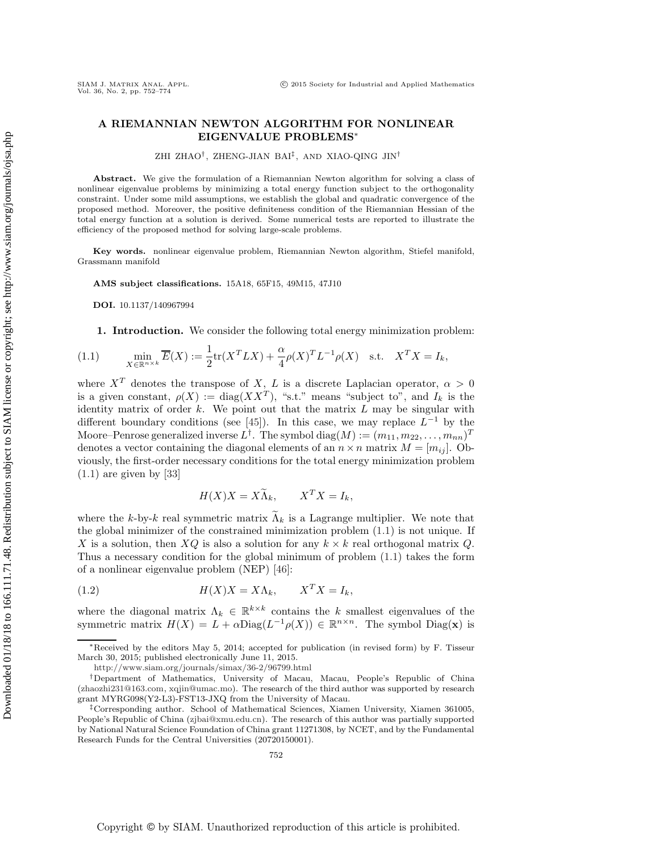## **A RIEMANNIAN NEWTON ALGORITHM FOR NONLINEAR EIGENVALUE PROBLEMS**∗

ZHI ZHAO†, ZHENG-JIAN BAI‡ , AND XIAO-QING JIN†

**Abstract.** We give the formulation of a Riemannian Newton algorithm for solving a class of nonlinear eigenvalue problems by minimizing a total energy function subject to the orthogonality constraint. Under some mild assumptions, we establish the global and quadratic convergence of the proposed method. Moreover, the positive definiteness condition of the Riemannian Hessian of the total energy function at a solution is derived. Some numerical tests are reported to illustrate the efficiency of the proposed method for solving large-scale problems.

**Key words.** nonlinear eigenvalue problem, Riemannian Newton algorithm, Stiefel manifold, Grassmann manifold

**AMS subject classifications.** 15A18, 65F15, 49M15, 47J10

<span id="page-0-2"></span>**DOI.** 10.1137/140967994

**1. Introduction.** We consider the following total energy minimization problem:

(1.1) 
$$
\min_{X \in \mathbb{R}^{n \times k}} \overline{E}(X) := \frac{1}{2} \text{tr}(X^T L X) + \frac{\alpha}{4} \rho(X)^T L^{-1} \rho(X) \quad \text{s.t.} \quad X^T X = I_k,
$$

where  $X^T$  denotes the transpose of X, L is a discrete Laplacian operator,  $\alpha > 0$ is a given constant,  $\rho(X) := diag(XX^T)$ , "s.t." means "subject to", and  $I_k$  is the identity matrix of order  $k$ . We point out that the matrix  $L$  may be singular with different boundary conditions (see [\[45\]](#page-22-0)). In this case, we may replace  $L^{-1}$  by the Moore–Penrose generalized inverse  $L^{\dagger}$ . The symbol diag $(M) := (m_{11}, m_{22}, \ldots, m_{nn})^T$ denotes a vector containing the diagonal elements of an  $n \times n$  matrix  $M = [m_{ij}]$ . Obviously, the first-order necessary conditions for the total energy minimization problem  $(1.1)$  are given by [\[33\]](#page-22-1)

<span id="page-0-1"></span><span id="page-0-0"></span>
$$
H(X)X = X\widetilde{\Lambda}_k, \qquad X^T X = I_k,
$$

where the k-by-k real symmetric matrix  $\Lambda_k$  is a Lagrange multiplier. We note that the global minimizer of the constrained minimization problem [\(1.1\)](#page-0-0) is not unique. If X is a solution, then  $XQ$  is also a solution for any  $k \times k$  real orthogonal matrix Q. Thus a necessary condition for the global minimum of problem [\(1.1\)](#page-0-0) takes the form of a nonlinear eigenvalue problem (NEP) [\[46\]](#page-22-2):

(1.2) 
$$
H(X)X = X\Lambda_k, \qquad X^T X = I_k,
$$

where the diagonal matrix  $\Lambda_k \in \mathbb{R}^{k \times k}$  contains the k smallest eigenvalues of the symmetric matrix  $H(X) = L + \alpha \text{Diag}(L^{-1} \rho(X)) \in \mathbb{R}^{n \times n}$ . The symbol Diag(**x**) is

<sup>∗</sup>Received by the editors May 5, 2014; accepted for publication (in revised form) by F. Tisseur March 30, 2015; published electronically June 11, 2015.

<http://www.siam.org/journals/simax/36-2/96799.html>

<sup>†</sup>Department of Mathematics, University of Macau, Macau, People's Republic of China [\(zhaozhi231@163.com,](mailto:zhaozhi231@163.com) [xqjin@umac.mo\)](mailto:xqjin@umac.mo). The research of the third author was supported by research grant MYRG098(Y2-L3)-FST13-JXQ from the University of Macau.

<sup>‡</sup>Corresponding author. School of Mathematical Sciences, Xiamen University, Xiamen 361005, People's Republic of China [\(zjbai@xmu.edu.cn\)](mailto:zjbai@xmu.edu.cn). The research of this author was partially supported by National Natural Science Foundation of China grant 11271308, by NCET, and by the Fundamental Research Funds for the Central Universities (20720150001).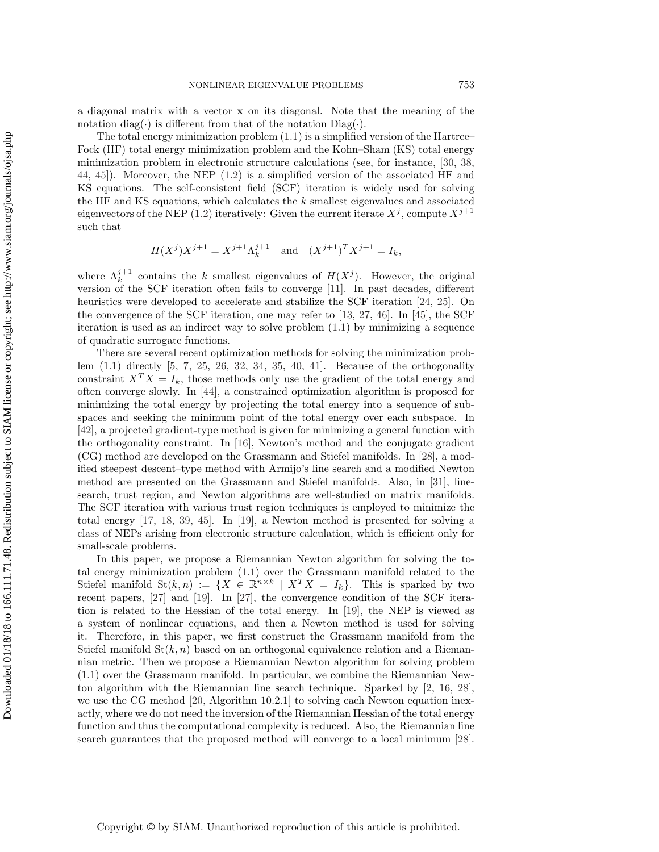a diagonal matrix with a vector **x** on its diagonal. Note that the meaning of the notation diag( $\cdot$ ) is different from that of the notation Diag( $\cdot$ ).

The total energy minimization problem  $(1.1)$  is a simplified version of the Hartree– Fock (HF) total energy minimization problem and the Kohn–Sham (KS) total energy minimization problem in electronic structure calculations (see, for instance, [\[30,](#page-22-3) [38,](#page-22-4) [44,](#page-22-5) [45\]](#page-22-0)). Moreover, the NEP [\(1.2\)](#page-0-1) is a simplified version of the associated HF and KS equations. The self-consistent field (SCF) iteration is widely used for solving the HF and KS equations, which calculates the k smallest eigenvalues and associated eigenvectors of the NEP [\(1.2\)](#page-0-1) iteratively: Given the current iterate  $X^j$ , compute  $X^{j+1}$ such that

$$
H(X^{j})X^{j+1} = X^{j+1}\Lambda_k^{j+1} \quad \text{and} \quad (X^{j+1})^{T}X^{j+1} = I_k,
$$

where  $\Lambda_k^{j+1}$  contains the k smallest eigenvalues of  $H(X^j)$ . However, the original version of the SCF iteration often fails to converge [\[11\]](#page-21-0). In past decades, different heuristics were developed to accelerate and stabilize the SCF iteration [\[24,](#page-22-6) [25\]](#page-22-7). On the convergence of the SCF iteration, one may refer to [\[13,](#page-21-1) [27,](#page-22-8) [46\]](#page-22-2). In [\[45\]](#page-22-0), the SCF iteration is used as an indirect way to solve problem  $(1.1)$  by minimizing a sequence of quadratic surrogate functions.

There are several recent optimization methods for solving the minimization problem [\(1.1\)](#page-0-0) directly [\[5,](#page-21-2) [7,](#page-21-3) [25,](#page-22-7) [26,](#page-22-9) [32,](#page-22-10) [34,](#page-22-11) [35,](#page-22-12) [40,](#page-22-13) [41\]](#page-22-14). Because of the orthogonality constraint  $X^T X = I_k$ , those methods only use the gradient of the total energy and often converge slowly. In [\[44\]](#page-22-5), a constrained optimization algorithm is proposed for minimizing the total energy by projecting the total energy into a sequence of subspaces and seeking the minimum point of the total energy over each subspace. In [\[42\]](#page-22-15), a projected gradient-type method is given for minimizing a general function with the orthogonality constraint. In [\[16\]](#page-21-4), Newton's method and the conjugate gradient (CG) method are developed on the Grassmann and Stiefel manifolds. In [\[28\]](#page-22-16), a modified steepest descent–type method with Armijo's line search and a modified Newton method are presented on the Grassmann and Stiefel manifolds. Also, in [\[31\]](#page-22-17), linesearch, trust region, and Newton algorithms are well-studied on matrix manifolds. The SCF iteration with various trust region techniques is employed to minimize the total energy [\[17,](#page-21-5) [18,](#page-21-6) [39,](#page-22-18) [45\]](#page-22-0). In [\[19\]](#page-21-7), a Newton method is presented for solving a class of NEPs arising from electronic structure calculation, which is efficient only for small-scale problems.

In this paper, we propose a Riemannian Newton algorithm for solving the total energy minimization problem [\(1.1\)](#page-0-0) over the Grassmann manifold related to the Stiefel manifold St $(k, n) := \{X \in \mathbb{R}^{n \times k} \mid X^T X = I_k\}.$  This is sparked by two recent papers, [\[27\]](#page-22-8) and [\[19\]](#page-21-7). In [\[27\]](#page-22-8), the convergence condition of the SCF iteration is related to the Hessian of the total energy. In [\[19\]](#page-21-7), the NEP is viewed as a system of nonlinear equations, and then a Newton method is used for solving it. Therefore, in this paper, we first construct the Grassmann manifold from the Stiefel manifold  $\text{St}(k, n)$  based on an orthogonal equivalence relation and a Riemannian metric. Then we propose a Riemannian Newton algorithm for solving problem [\(1.1\)](#page-0-0) over the Grassmann manifold. In particular, we combine the Riemannian Newton algorithm with the Riemannian line search technique. Sparked by [\[2,](#page-21-8) [16,](#page-21-4) [28\]](#page-22-16), we use the CG method [\[20,](#page-21-9) Algorithm 10.2.1] to solving each Newton equation inexactly, where we do not need the inversion of the Riemannian Hessian of the total energy function and thus the computational complexity is reduced. Also, the Riemannian line search guarantees that the proposed method will converge to a local minimum [\[28\]](#page-22-16).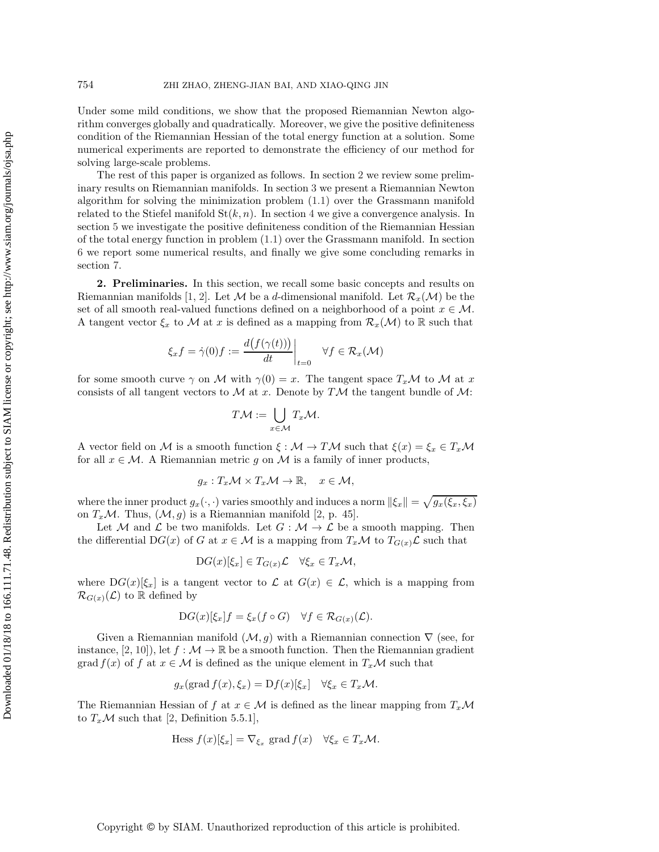Under some mild conditions, we show that the proposed Riemannian Newton algorithm converges globally and quadratically. Moreover, we give the positive definiteness condition of the Riemannian Hessian of the total energy function at a solution. Some numerical experiments are reported to demonstrate the efficiency of our method for solving large-scale problems.

The rest of this paper is organized as follows. In section [2](#page-2-0) we review some preliminary results on Riemannian manifolds. In section [3](#page-3-0) we present a Riemannian Newton algorithm for solving the minimization problem [\(1.1\)](#page-0-0) over the Grassmann manifold related to the Stiefel manifold  $St(k, n)$ . In section [4](#page-8-0) we give a convergence analysis. In section [5](#page-14-0) we investigate the positive definiteness condition of the Riemannian Hessian of the total energy function in problem [\(1.1\)](#page-0-0) over the Grassmann manifold. In section [6](#page-16-0) we report some numerical results, and finally we give some concluding remarks in section [7.](#page-20-0)

<span id="page-2-0"></span>**2. Preliminaries.** In this section, we recall some basic concepts and results on Riemannian manifolds [\[1,](#page-21-10) [2\]](#page-21-8). Let M be a d-dimensional manifold. Let  $\mathcal{R}_x(\mathcal{M})$  be the set of all smooth real-valued functions defined on a neighborhood of a point  $x \in \mathcal{M}$ . A tangent vector  $\xi_x$  to M at x is defined as a mapping from  $\mathcal{R}_x(\mathcal{M})$  to R such that

$$
\xi_x f = \dot{\gamma}(0) f := \frac{d(f(\gamma(t)))}{dt}\bigg|_{t=0} \quad \forall f \in \mathcal{R}_x(\mathcal{M})
$$

for some smooth curve  $\gamma$  on M with  $\gamma(0) = x$ . The tangent space  $T_x\mathcal{M}$  to M at x consists of all tangent vectors to  $\mathcal M$  at x. Denote by T $\mathcal M$  the tangent bundle of  $\mathcal M$ :

$$
T\mathcal{M} := \bigcup_{x \in \mathcal{M}} T_x \mathcal{M}.
$$

A vector field on M is a smooth function  $\xi : \mathcal{M} \to T\mathcal{M}$  such that  $\xi(x) = \xi_x \in T_x\mathcal{M}$ for all  $x \in \mathcal{M}$ . A Riemannian metric g on M is a family of inner products,

$$
g_x: T_x\mathcal{M} \times T_x\mathcal{M} \to \mathbb{R}, \quad x \in \mathcal{M},
$$

where the inner product  $g_x(\cdot, \cdot)$  varies smoothly and induces a norm  $\|\xi_x\| = \sqrt{g_x(\xi_x, \xi_x)}$ on  $T_x\mathcal{M}$ . Thus,  $(\mathcal{M}, g)$  is a Riemannian manifold [\[2,](#page-21-8) p. 45].

Let M and L be two manifolds. Let  $G : \mathcal{M} \to \mathcal{L}$  be a smooth mapping. Then the differential DG(x) of G at  $x \in M$  is a mapping from  $T_x \mathcal{M}$  to  $T_{G(x)} \mathcal{L}$  such that

$$
DG(x)[\xi_x] \in T_{G(x)}\mathcal{L} \quad \forall \xi_x \in T_x\mathcal{M},
$$

where  $DG(x)[\xi_x]$  is a tangent vector to  $\mathcal L$  at  $G(x) \in \mathcal L$ , which is a mapping from  $\mathcal{R}_{G(x)}(\mathcal{L})$  to R defined by

$$
DG(x)[\xi_x]f = \xi_x(f \circ G) \quad \forall f \in \mathcal{R}_{G(x)}(\mathcal{L}).
$$

Given a Riemannian manifold  $(\mathcal{M}, g)$  with a Riemannian connection  $\nabla$  (see, for instance, [\[2,](#page-21-8) [10\]](#page-21-11)), let  $f : \mathcal{M} \to \mathbb{R}$  be a smooth function. Then the Riemannian gradient grad  $f(x)$  of f at  $x \in M$  is defined as the unique element in  $T_xM$  such that

$$
g_x(\text{grad } f(x), \xi_x) = Df(x)[\xi_x] \quad \forall \xi_x \in T_x \mathcal{M}.
$$

The Riemannian Hessian of f at  $x \in M$  is defined as the linear mapping from  $T_x \mathcal{M}$ to  $T_x\mathcal{M}$  such that [\[2,](#page-21-8) Definition 5.5.1],

Hess 
$$
f(x)[\xi_x] = \nabla_{\xi_x}
$$
 grad  $f(x) \quad \forall \xi_x \in T_x \mathcal{M}$ .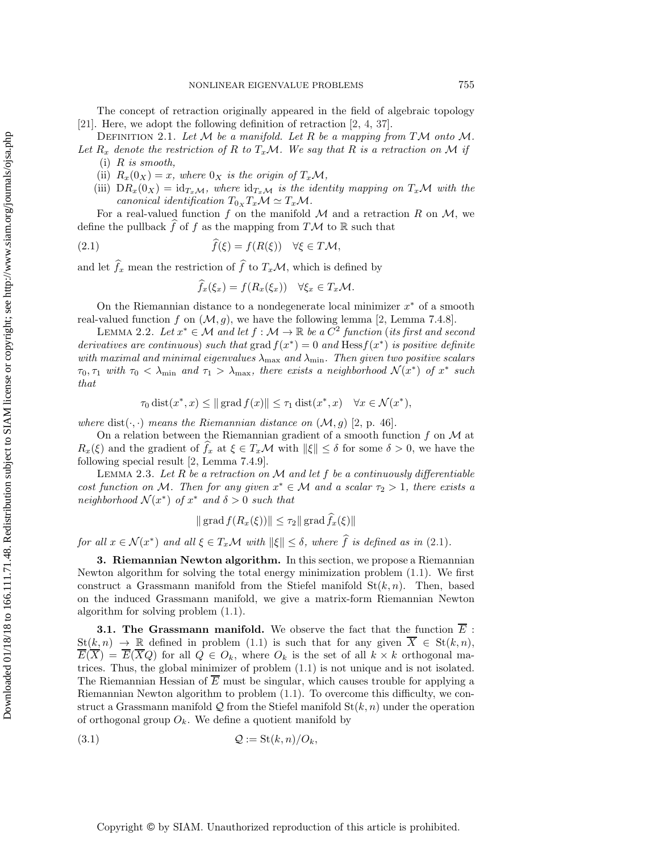The concept of retraction originally appeared in the field of algebraic topology [\[21\]](#page-21-12). Here, we adopt the following definition of retraction [\[2,](#page-21-8) [4,](#page-21-13) [37\]](#page-22-19).

Definition 2.1. *Let* M *be a manifold. Let* R *be a mapping from* TM *onto* M*.*

Let  $R_x$  denote the restriction of R to  $T_x\mathcal{M}$ . We say that R is a retraction on M if (i) R *is smooth,*

- (ii)  $R_x(0_X) = x$ *, where*  $0_X$  *is the origin of*  $T_x\mathcal{M}$ *,*
- (iii)  $DR_x(0_X) = id_{T_xM}$ , where  $id_{T_xM}$  is the *identity mapping on*  $T_xM$  with the *canonical identification*  $T_{0x}T_xM \simeq T_xM$ .

For a real-valued function f on the manifold  $\mathcal M$  and a retraction R on  $\mathcal M$ , we define the pullback  $\widehat{f}$  of  $f$  as the mapping from  $T\mathcal{M}$  to  $\mathbb R$  such that

(2.1) 
$$
\widehat{f}(\xi) = f(R(\xi)) \quad \forall \xi \in T\mathcal{M},
$$

and let  $f_x$  mean the restriction of  $f$  to  $T_xM$ , which is defined by

<span id="page-3-1"></span>
$$
\widehat{f}_x(\xi_x) = f(R_x(\xi_x)) \quad \forall \xi_x \in T_x \mathcal{M}.
$$

On the Riemannian distance to a nondegenerate local minimizer  $x^*$  of a smooth real-valued function f on  $(M, g)$ , we have the following lemma [\[2,](#page-21-8) Lemma 7.4.8].

<span id="page-3-3"></span>LEMMA 2.2. Let  $x^*$  ∈ M and let  $f : M \to \mathbb{R}$  be a  $C^2$  function (its first and second *derivatives are continuous*) *such that* grad  $f(x^*)=0$  *and* Hess $f(x^*)$  *is positive definite with maximal and minimal eigenvalues* λmax *and* λmin*. Then given two positive scalars*  $\tau_0, \tau_1$  with  $\tau_0 < \lambda_{\min}$  and  $\tau_1 > \lambda_{\max}$ , there exists a neighborhood  $\mathcal{N}(x^*)$  of  $x^*$  such *that*

$$
\tau_0 \operatorname{dist}(x^*, x) \le ||\operatorname{grad} f(x)|| \le \tau_1 \operatorname{dist}(x^*, x) \quad \forall x \in \mathcal{N}(x^*),
$$

*where* dist $(\cdot, \cdot)$  *means the Riemannian distance on*  $(\mathcal{M}, g)$  [\[2,](#page-21-8) p. 46]*.* 

On a relation between the Riemannian gradient of a smooth function  $f$  on  $\mathcal M$  at  $R_x(\xi)$  and the gradient of  $f_x$  at  $\xi \in T_x\mathcal{M}$  with  $\|\xi\| \leq \delta$  for some  $\delta > 0$ , we have the following special result [\[2,](#page-21-8) Lemma 7.4.9].

<span id="page-3-4"></span>Lemma 2.3. *Let* R *be a retraction on* M *and let* f *be a continuously differentiable cost function on* M. Then for any given  $x^* \in M$  and a scalar  $\tau_2 > 1$ , there exists a *neighborhood*  $\mathcal{N}(x^*)$  *of*  $x^*$  *and*  $\delta > 0$  *such that* 

<span id="page-3-2"></span>
$$
\|\operatorname{grad} f(R_x(\xi))\| \leq \tau_2 \|\operatorname{grad} f_x(\xi)\|
$$

<span id="page-3-0"></span>*for all*  $x \in \mathcal{N}(x^*)$  *and all*  $\xi \in T_x\mathcal{M}$  *with*  $\|\xi\| \leq \delta$ *, where*  $f$  *is defined as in* [\(2.1\)](#page-3-1)*.* 

**3. Riemannian Newton algorithm.** In this section, we propose a Riemannian Newton algorithm for solving the total energy minimization problem [\(1.1\)](#page-0-0). We first construct a Grassmann manifold from the Stiefel manifold  $St(k, n)$ . Then, based on the induced Grassmann manifold, we give a matrix-form Riemannian Newton algorithm for solving problem [\(1.1\)](#page-0-0).

**3.1. The Grassmann manifold.** We observe the fact that the function  $\overline{E}$ :  $St(k, n) \to \mathbb{R}$  defined in problem [\(1.1\)](#page-0-0) is such that for any given  $\overline{X} \in St(k, n)$ ,  $\overline{E}(\overline{X}) = \overline{E}(\overline{X}Q)$  for all  $Q \in O_k$ , where  $O_k$  is the set of all  $k \times k$  orthogonal matrices. Thus, the global minimizer of problem [\(1.1\)](#page-0-0) is not unique and is not isolated. The Riemannian Hessian of  $\overline{E}$  must be singular, which causes trouble for applying a Riemannian Newton algorithm to problem [\(1.1\)](#page-0-0). To overcome this difficulty, we construct a Grassmann manifold Q from the Stiefel manifold  $S_t(k, n)$  under the operation of orthogonal group  $O_k$ . We define a quotient manifold by

$$
(3.1) \tQ := \text{St}(k, n) / O_k,
$$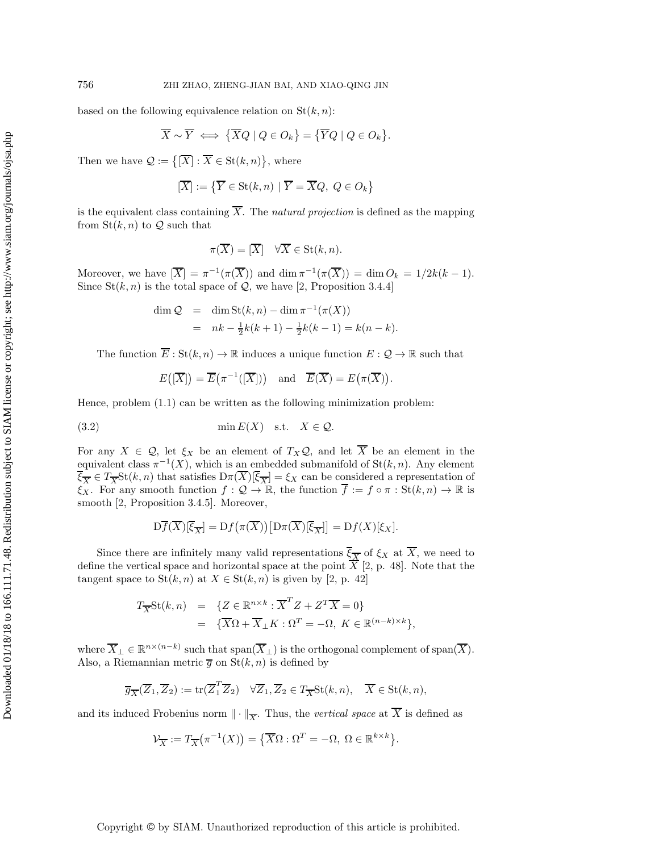based on the following equivalence relation on  $St(k, n)$ :

$$
\overline{X} \sim \overline{Y} \iff {\overline{X}Q \mid Q \in O_k} = {\overline{Y}Q \mid Q \in O_k}.
$$

Then we have  $\mathcal{Q} := \{ \overline{X} : \overline{X} \in \text{St}(k,n) \},\$  where

$$
[\overline{X}] := \left\{ \overline{Y} \in \text{St}(k, n) \mid \overline{Y} = \overline{X}Q, \ Q \in O_k \right\}
$$

is the equivalent class containing  $\overline{X}$ . The *natural projection* is defined as the mapping from  $\text{St}(k, n)$  to  $\mathcal Q$  such that

<span id="page-4-0"></span>
$$
\pi(\overline{X}) = [\overline{X}] \quad \forall \overline{X} \in \text{St}(k, n).
$$

Moreover, we have  $\overline{X} = \pi^{-1}(\pi(\overline{X}))$  and  $\dim \pi^{-1}(\pi(\overline{X})) = \dim O_k = 1/2k(k-1)$ . Since  $St(k, n)$  is the total space of  $Q$ , we have [\[2,](#page-21-8) Proposition 3.4.4]

$$
\dim Q = \dim \text{St}(k, n) - \dim \pi^{-1}(\pi(X))
$$
  
=  $nk - \frac{1}{2}k(k+1) - \frac{1}{2}k(k-1) = k(n-k).$ 

The function  $\overline{E}: \text{St}(k,n) \to \mathbb{R}$  induces a unique function  $E: \mathcal{Q} \to \mathbb{R}$  such that

$$
E([\overline{X}]) = \overline{E}(\pi^{-1}([\overline{X}]))
$$
 and  $\overline{E}(\overline{X}) = E(\pi(\overline{X})).$ 

Hence, problem [\(1.1\)](#page-0-0) can be written as the following minimization problem:

(3.2) 
$$
\min E(X) \quad \text{s.t.} \quad X \in \mathcal{Q}.
$$

For any  $X \in \mathcal{Q}$ , let  $\xi_X$  be an element of  $T_X \mathcal{Q}$ , and let  $\overline{X}$  be an element in the equivalent class  $\pi^{-1}(X)$ , which is an embedded submanifold of  $St(k, n)$ . Any element  $\xi_{\overline{X}} \in T_{\overline{X}}\mathrm{St}(k,n)$  that satisfies  $\mathrm{D}\pi(X)[\xi_{\overline{X}}] = \xi_X$  can be considered a representation of  $\xi_X$ . For any smooth function  $f: \mathcal{Q} \to \mathbb{R}$ , the function  $\overline{f} := f \circ \pi : \text{St}(k,n) \to \mathbb{R}$  is smooth [\[2,](#page-21-8) Proposition 3.4.5]. Moreover,

$$
\mathcal{D}\overline{f}(\overline{X})[\overline{\xi}_{\overline{X}}] = \mathcal{D}f(\pi(\overline{X})) [\mathcal{D}\pi(\overline{X})[\overline{\xi}_{\overline{X}}]] = \mathcal{D}f(X)[\xi_X].
$$

Since there are infinitely many valid representations  $\overline{\xi_{\overline{X}}}$  of  $\xi_X$  at  $\overline{X}$ , we need to define the vertical space and horizontal space at the point  $\overline{X}$  [\[2,](#page-21-8) p. 48]. Note that the tangent space to  $St(k, n)$  at  $X \in St(k, n)$  is given by [\[2,](#page-21-8) p. 42]

$$
T_{\overline{X}}\text{St}(k,n) = \{Z \in \mathbb{R}^{n \times k} : \overline{X}^T Z + Z^T \overline{X} = 0\}
$$
  
=  $\{\overline{X}\Omega + \overline{X}_{\perp} K : \Omega^T = -\Omega, K \in \mathbb{R}^{(n-k) \times k}\},$ 

where  $\overline{X}_{\perp} \in \mathbb{R}^{n \times (n-k)}$  such that  $\text{span}(\overline{X}_{\perp})$  is the orthogonal complement of  $\text{span}(\overline{X})$ . Also, a Riemannian metric  $\overline{g}$  on  $St(k, n)$  is defined by

$$
\overline{g}_{\overline{X}}(\overline{Z}_1, \overline{Z}_2) := \text{tr}(\overline{Z}_1^T \overline{Z}_2) \quad \forall \overline{Z}_1, \overline{Z}_2 \in T_{\overline{X}}\text{St}(k, n), \quad \overline{X} \in \text{St}(k, n),
$$

and its induced Frobenius norm  $\|\cdot\|_{\overline{X}}$ . Thus, the *vertical space* at  $\overline{X}$  is defined as

$$
\mathcal{V}_{\overline{X}} := T_{\overline{X}}(\pi^{-1}(X)) = \{ \overline{X}\Omega : \Omega^T = -\Omega, \ \Omega \in \mathbb{R}^{k \times k} \}.
$$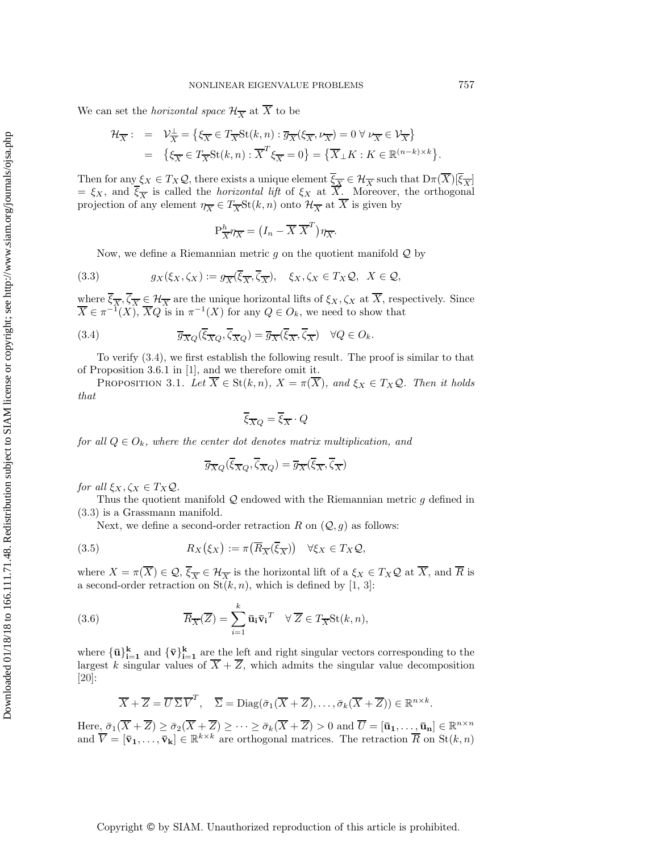We can set the *horizontal space*  $\mathcal{H}_{\overline{X}}$  at  $\overline{X}$  to be

$$
\mathcal{H}_{\overline{X}}: = \mathcal{V}_{\overline{X}}^{\perp} = \left\{ \xi_{\overline{X}} \in T_{\overline{X}} \text{St}(k, n) : \overline{g}_{\overline{X}}(\xi_{\overline{X}}, \nu_{\overline{X}}) = 0 \,\forall \,\nu_{\overline{X}} \in \mathcal{V}_{\overline{X}} \right\} = \left\{ \xi_{\overline{X}} \in T_{\overline{X}} \text{St}(k, n) : \overline{X}^T \xi_{\overline{X}} = 0 \right\} = \left\{ \overline{X}_{\perp} K : K \in \mathbb{R}^{(n-k) \times k} \right\}.
$$

Then for any  $\xi_X \in T_X\mathcal{Q}$ , there exists a unique element  $\xi_{\overline{X}} \in \mathcal{H}_{\overline{X}}$  such that  $D\pi(\overline{X})[\xi_{\overline{X}}]$  $=\xi_X$ , and  $\xi_{\overline{X}}$  is called the *horizontal lift* of  $\xi_X$  at X. Moreover, the orthogonal projection of any element  $\eta_{\overline{X}} \in T_{\overline{X}}\text{St}(k, n)$  onto  $\mathcal{H}_{\overline{X}}$  at  $\overline{X}$  is given by

<span id="page-5-1"></span>
$$
P^h_{\overline{X}} \eta_{\overline{X}} = (I_n - \overline{X} \ \overline{X}^T) \eta_{\overline{X}}.
$$

Now, we define a Riemannian metric  $g$  on the quotient manifold  $Q$  by

(3.3) 
$$
g_X(\xi_X, \zeta_X) := g_{\overline{X}}(\overline{\xi}_{\overline{X}}, \overline{\zeta}_{\overline{X}}), \quad \xi_X, \zeta_X \in T_X \mathcal{Q}, \quad X \in \mathcal{Q},
$$

where  $\xi_{\overline{X}}, \zeta_{\overline{X}} \in \mathcal{H}_{\overline{X}}$  are the unique horizontal lifts of  $\xi_X, \zeta_X$  at X, respectively. Since  $\overline{X} \in \pi^{-1}(X), \overline{X}Q$  is in  $\pi^{-1}(X)$  for any  $Q \in O_k$ , we need to show that

(3.4) 
$$
\overline{g}_{\overline{X}Q}(\overline{\xi}_{\overline{X}Q},\overline{\zeta}_{\overline{X}Q}) = \overline{g}_{\overline{X}}(\overline{\xi}_{\overline{X}},\overline{\zeta}_{\overline{X}}) \quad \forall Q \in O_k.
$$

To verify [\(3.4\)](#page-5-0), we first establish the following result. The proof is similar to that of Proposition 3.6.1 in [\[1\]](#page-21-10), and we therefore omit it.

PROPOSITION 3.1. Let  $\overline{X} \in \text{St}(k,n)$ ,  $X = \pi(\overline{X})$ , and  $\xi_X \in T_X \mathcal{Q}$ . Then it holds *that*

<span id="page-5-3"></span><span id="page-5-0"></span>
$$
\overline{\xi}_{\overline{X}Q}=\overline{\xi}_{\overline{X}}\cdot Q
$$

*for all*  $Q \in O_k$ *, where the center dot denotes matrix multiplication, and* 

<span id="page-5-2"></span>
$$
\overline{g}_{\overline{X}Q}(\overline{\xi}_{\overline{X}Q},\overline{\zeta}_{\overline{X}Q})=\overline{g}_{\overline{X}}(\overline{\xi}_{\overline{X}},\overline{\zeta}_{\overline{X}})
$$

*for all*  $\xi_X, \zeta_X \in T_X \mathcal{Q}$ *.* 

Thus the quotient manifold  $\mathcal Q$  endowed with the Riemannian metric q defined in [\(3.3\)](#page-5-1) is a Grassmann manifold.

Next, we define a second-order retraction R on  $(Q, g)$  as follows:

(3.5) 
$$
R_X(\xi_X) := \pi(\overline{R}_{\overline{X}}(\overline{\xi}_{\overline{X}})) \quad \forall \xi_X \in T_X \mathcal{Q},
$$

where  $X = \pi(\overline{X}) \in \mathcal{Q}, \overline{\xi}_{\overline{X}} \in \mathcal{H}_{\overline{X}}$  is the horizontal lift of a  $\xi_X \in T_X\mathcal{Q}$  at  $\overline{X}$ , and  $\overline{R}$  is a second-order retraction on  $St(k, n)$ , which is defined by [\[1,](#page-21-10) [3\]](#page-21-14):

(3.6) 
$$
\overline{R}_{\overline{X}}(\overline{Z}) = \sum_{i=1}^{k} \overline{\mathbf{u}}_{i} \overline{\mathbf{v}}_{i}^{T} \quad \forall \ \overline{Z} \in T_{\overline{X}} \text{St}(k, n),
$$

where  ${\{\bar{\mathbf{u}}\}_{i=1}^k}$  and  ${\{\bar{\mathbf{v}}\}_{i=1}^k}$  are the left and right singular vectors corresponding to the largest k singular values of  $X + Z$ , which admits the singular value decomposition [\[20\]](#page-21-9):

$$
\overline{X} + \overline{Z} = \overline{U} \overline{\Sigma} \overline{V}^T
$$
,  $\overline{\Sigma} = \text{Diag}(\overline{\sigma}_1(\overline{X} + \overline{Z}), \dots, \overline{\sigma}_k(\overline{X} + \overline{Z})) \in \mathbb{R}^{n \times k}$ .

Here,  $\bar{\sigma}_1(\overline{X} + \overline{Z}) \ge \bar{\sigma}_2(\overline{X} + \overline{Z}) \ge \cdots \ge \bar{\sigma}_k(\overline{X} + \overline{Z}) > 0$  and  $\overline{U} = [\bar{\mathbf{u}}_1, \ldots, \bar{\mathbf{u}}_n] \in \mathbb{R}^{n \times n}$ and  $\overline{V} = [\overline{\mathbf{v}}_1,\ldots,\overline{\mathbf{v}}_k] \in \mathbb{R}^{k \times k}$  are orthogonal matrices. The retraction  $\overline{R}$  on  $\text{St}(k,n)$ 

Copyright © by SIAM. Unauthorized reproduction of this article is prohibited.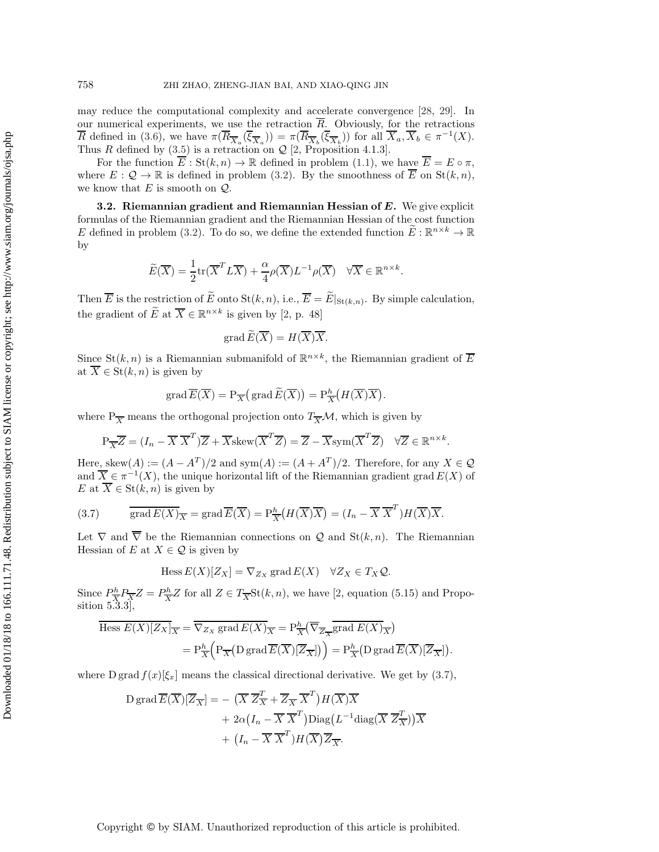may reduce the computational complexity and accelerate convergence [\[28,](#page-22-16) [29\]](#page-22-20). In our numerical experiments, we use the retraction  $\overline{R}$ . Obviously, for the retractions  $\overline{R}$  defined in [\(3.6\)](#page-5-2), we have  $\pi(\overline{R}_{\overline{X}_a}(\overline{\xi}_{\overline{X}_a})) = \pi(\overline{R}_{\overline{X}_b}(\overline{\xi}_{\overline{X}_b}))$  for all  $\overline{X}_a, \overline{X}_b \in \pi^{-1}(X)$ . Thus R defined by  $(3.5)$  is a retraction on  $\mathcal{Q}$  [\[2,](#page-21-8) Proposition 4.1.3].

For the function  $E: St(k, n) \to \mathbb{R}$  defined in problem [\(1.1\)](#page-0-0), we have  $\overline{E} = E \circ \pi$ , where  $E: \mathcal{Q} \to \mathbb{R}$  is defined in problem [\(3.2\)](#page-4-0). By the smoothness of  $\overline{E}$  on  $St(k, n)$ , we know that  $E$  is smooth on  $Q$ .

<span id="page-6-1"></span>**3.2. Riemannian gradient and Riemannian Hessian of** *E***.** We give explicit formulas of the Riemannian gradient and the Riemannian Hessian of the cost function E defined in problem [\(3.2\)](#page-4-0). To do so, we define the extended function  $\widetilde{E}: \mathbb{R}^{n \times k} \to \mathbb{R}$ by

$$
\widetilde{E}(\overline{X}) = \frac{1}{2} \text{tr}(\overline{X}^T L \overline{X}) + \frac{\alpha}{4} \rho(\overline{X}) L^{-1} \rho(\overline{X}) \quad \forall \overline{X} \in \mathbb{R}^{n \times k}.
$$

Then E is the restriction of E onto St $(k, n)$ , i.e.,  $E = E|_{\text{St}(k,n)}$ . By simple calculation, the gradient of  $\widetilde{E}$  at  $\overline{X} \in \mathbb{R}^{n \times k}$  is given by [\[2,](#page-21-8) p. 48]

$$
\operatorname{grad} E(\overline{X}) = H(\overline{X})\overline{X}.
$$

Since  $\text{St}(k, n)$  is a Riemannian submanifold of  $\mathbb{R}^{n \times k}$ , the Riemannian gradient of  $\overline{E}$ at  $\overline{X} \in \text{St}(k, n)$  is given by

$$
\operatorname{grad} \overline{E}(\overline{X}) = P_{\overline{X}} \big( \operatorname{grad} \widetilde{E}(\overline{X}) \big) = P_{\overline{X}}^h \big( H(\overline{X}) \overline{X} \big).
$$

where  $P_{\overline{X}}$  means the orthogonal projection onto  $T_{\overline{X}}\mathcal{M}$ , which is given by

$$
P_{\overline{X}}\overline{Z} = (I_n - \overline{X}\ \overline{X}^T)\overline{Z} + \overline{X}skew(\overline{X}^T\overline{Z}) = \overline{Z} - \overline{X}sym(\overline{X}^T\overline{Z}) \quad \forall \overline{Z} \in \mathbb{R}^{n \times k}.
$$

Here, skew $(A) := (A - A^T)/2$  and sym $(A) := (A + A^T)/2$ . Therefore, for any  $X \in \mathcal{Q}$ and  $\overline{X} \in \pi^{-1}(X)$ , the unique horizontal lift of the Riemannian gradient grad  $E(X)$  of E at  $\overline{X} \in \text{St}(k, n)$  is given by

(3.7) 
$$
\overline{\text{grad } E(X)}_{\overline{X}} = \text{grad } \overline{E}(\overline{X}) = P_{\overline{X}}^{h}(H(\overline{X})\overline{X}) = (I_n - \overline{X} \ \overline{X}^T)H(\overline{X})\overline{X}.
$$

Let  $\nabla$  and  $\overline{\nabla}$  be the Riemannian connections on Q and St $(k, n)$ . The Riemannian Hessian of E at  $X \in \mathcal{Q}$  is given by

<span id="page-6-0"></span>
$$
\text{Hess}\, E(X)[Z_X] = \nabla_{Z_X} \,\text{grad}\, E(X) \quad \forall Z_X \in T_X \mathcal{Q}.
$$

Since  $P_R^h P_{\overline{X}} Z = P_{\overline{X}}^h Z$  for all  $Z \in T_{\overline{X}}$ St $(k, n)$ , we have [\[2,](#page-21-8) equation (5.15) and Proposition 5.3.3],

$$
\overline{\text{Hess }E(X)[Z_X]}_{\overline{X}} = \overline{\nabla_{Z_X} \text{ grad }E(X)}_{\overline{X}} = \text{P}^h_{\overline{X}}(\overline{\nabla}_{\overline{Z}_{\overline{X}}} \overline{\text{grad }E(X)}_{\overline{X}})
$$
\n
$$
= \text{P}^h_{\overline{X}}\Big(\text{P}_{\overline{X}}(D \text{ grad } \overline{E}(\overline{X})[\overline{Z}_{\overline{X}}])\Big) = \text{P}^h_{\overline{X}}\big(\text{D grad } \overline{E}(\overline{X})[\overline{Z}_{\overline{X}}]\big).
$$

where D grad  $f(x)[\xi_x]$  means the classical directional derivative. We get by [\(3.7\)](#page-6-0),

$$
D \operatorname{grad} \overline{E}(\overline{X})[\overline{Z}_{\overline{X}}] = -(\overline{X} \ \overline{Z}_{\overline{X}}^T + \overline{Z}_{\overline{X}} \ \overline{X}^T) H(\overline{X}) \overline{X} + 2\alpha (I_n - \overline{X} \ \overline{X}^T) \operatorname{Diag}(L^{-1} \operatorname{diag}(\overline{X} \ \overline{Z}_{\overline{X}}^T)) \overline{X} + (I_n - \overline{X} \ \overline{X}^T) H(\overline{X}) \overline{Z}_{\overline{X}}.
$$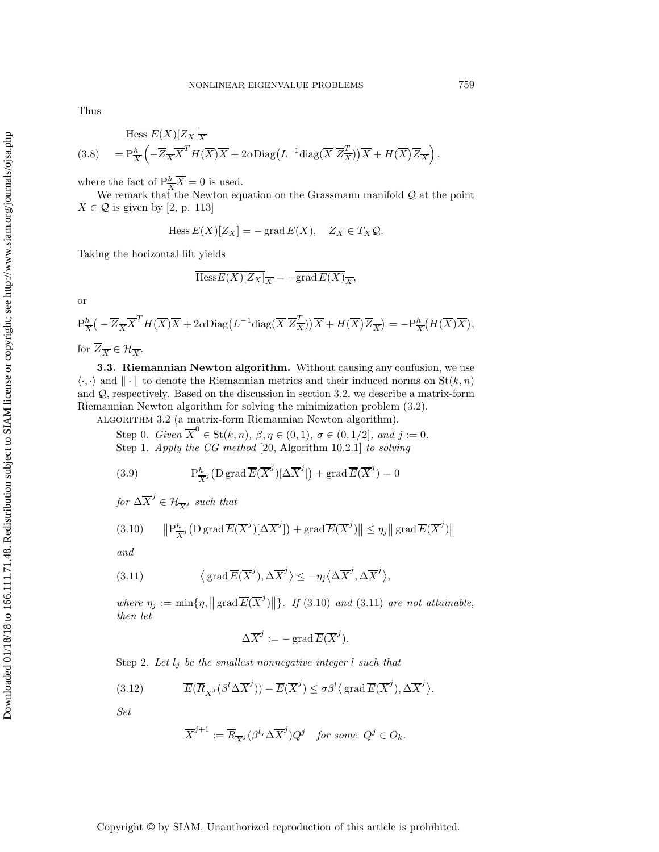Thus

<span id="page-7-5"></span>
$$
\text{Hess } E(X)[Z_X]_{\overline{X}} \\
= \text{P}_{\overline{X}}^h \left( -\overline{Z}_{\overline{X}} \overline{X}^T H(\overline{X}) \overline{X} + 2\alpha \text{Diag}\left(L^{-1} \text{diag}(\overline{X} \ \overline{Z}_{\overline{X}}^T)\right) \overline{X} + H(\overline{X}) \overline{Z}_{\overline{X}}\right),
$$

where the fact of  $P^h_{\overline{X}} \overline{X} = 0$  is used.

We remark that the Newton equation on the Grassmann manifold  $Q$  at the point  $X \in \mathcal{Q}$  is given by [\[2,](#page-21-8) p. 113]

$$
\text{Hess}\, E(X)[Z_X] = -\operatorname{grad} E(X), \quad Z_X \in T_X \mathcal{Q}.
$$

Taking the horizontal lift yields

$$
\overline{\text{Hess}E(X)[Z_X]}_{\overline{X}} = -\overline{\text{grad}\,E(X)}_{\overline{X}},
$$

or

$$
P_{\overline{X}}^h \left( -\overline{Z}_{\overline{X}} \overline{X}^T H(\overline{X}) \overline{X} + 2\alpha \text{Diag}\left( L^{-1} \text{diag}(\overline{X} \ \overline{Z}_{\overline{X}}^T) \right) \overline{X} + H(\overline{X}) \overline{Z}_{\overline{X}} \right) = -P_{\overline{X}}^h \left( H(\overline{X}) \overline{X} \right),
$$
 for  $\overline{Z}_{\overline{X}} \in \mathcal{H}_{\overline{X}}.$ 

**3.3. Riemannian Newton algorithm.** Without causing any confusion, we use  $\langle \cdot, \cdot \rangle$  and  $\|\cdot\|$  to denote the Riemannian metrics and their induced norms on  $\text{St}(k, n)$ and Q, respectively. Based on the discussion in section [3.2,](#page-6-1) we describe a matrix-form Riemannian Newton algorithm for solving the minimization problem [\(3.2\)](#page-4-0).

<span id="page-7-2"></span>algorithm 3.2 (a matrix-form Riemannian Newton algorithm).

Step 0. *Given*  $\overline{X}^0 \in \text{St}(k, n)$ ,  $\beta, \eta \in (0, 1)$ ,  $\sigma \in (0, 1/2]$ , and  $j := 0$ . Step 1. *Apply the CG method* [\[20,](#page-21-9) Algorithm 10.2.1] *to solving*

(3.9) 
$$
P_{\overline{X}^j}^h(D \operatorname{grad} \overline{E}(\overline{X}^j)[\Delta \overline{X}^j]) + \operatorname{grad} \overline{E}(\overline{X}^j) = 0
$$

*for*  $\Delta \overline{X}^j \in \mathcal{H}_{\overline{X}^j}$  *such that* 

<span id="page-7-0"></span>(3.10) 
$$
\left\| \mathcal{P}_{\overline{X}^j}^h \left( \mathcal{D} \operatorname{grad} \overline{E}(\overline{X}^j) [\Delta \overline{X}^j] \right) + \operatorname{grad} \overline{E}(\overline{X}^j) \right\| \le \eta_j \left\| \operatorname{grad} \overline{E}(\overline{X}^j) \right\|
$$

<span id="page-7-1"></span>*and*

(3.11) 
$$
\langle \text{grad } \overline{E}(\overline{X}^j), \Delta \overline{X}^j \rangle \le -\eta_j \langle \Delta \overline{X}^j, \Delta \overline{X}^j \rangle,
$$

where  $\eta_j := \min\{\eta, \|\operatorname{grad} \overline{E}(\overline{X}^j)\|\}.$  If [\(3.10\)](#page-7-0) and [\(3.11\)](#page-7-1) are not attainable, *then let*

<span id="page-7-4"></span><span id="page-7-3"></span>
$$
\Delta \overline{X}^j := - \operatorname{grad} \overline{E}(\overline{X}^j).
$$

Step 2. Let  $l_j$  be the smallest nonnegative integer  $l$  such that

(3.12) 
$$
\overline{E}(\overline{R}_{\overline{X}^j}(\beta^l \Delta \overline{X}^j)) - \overline{E}(\overline{X}^j) \leq \sigma \beta^l \langle \operatorname{grad} \overline{E}(\overline{X}^j), \Delta \overline{X}^j \rangle.
$$

*Set*

$$
\overline{X}^{j+1} := \overline{R}_{\overline{X}^j}(\beta^{l_j} \Delta \overline{X}^j) Q^j \quad \text{for some } Q^j \in O_k.
$$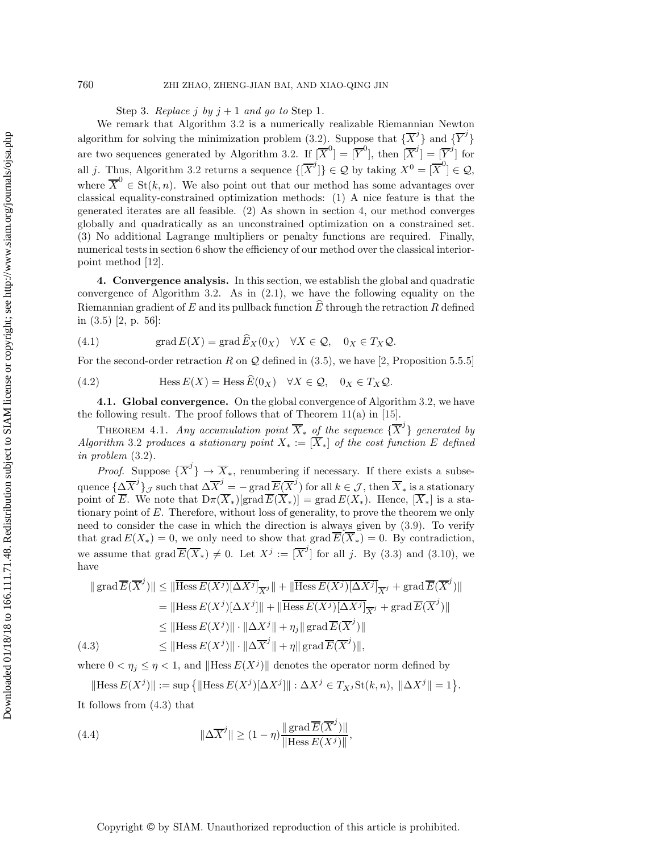Step 3. *Replace*  $j$  *by*  $j + 1$  *and go to* Step 1.

We remark that Algorithm [3.2](#page-7-2) is a numerically realizable Riemannian Newton algorithm for solving the minimization problem [\(3.2\)](#page-4-0). Suppose that  $\{\overline{X}^j\}$  and  $\{\overline{Y}^j\}$ are two sequences generated by Algorithm [3.2.](#page-7-2) If  $[\overline{X}^0] = [\overline{Y}^0]$ , then  $[\overline{X}^j] = [\overline{Y}^j]$  for all j. Thus, Algorithm [3.2](#page-7-2) returns a sequence  $\{[\overline{X}^j]\}\in\mathcal{Q}$  by taking  $X^0=[\overline{X}^0]\in\mathcal{Q}$ , where  $\overline{X}^0 \in \text{St}(k, n)$ . We also point out that our method has some advantages over classical equality-constrained optimization methods: (1) A nice feature is that the generated iterates are all feasible. (2) As shown in section [4,](#page-8-0) our method converges globally and quadratically as an unconstrained optimization on a constrained set. (3) No additional Lagrange multipliers or penalty functions are required. Finally, numerical tests in section [6](#page-16-0) show the efficiency of our method over the classical interiorpoint method [\[12\]](#page-21-15).

<span id="page-8-0"></span>**4. Convergence analysis.** In this section, we establish the global and quadratic convergence of Algorithm [3.2.](#page-7-2) As in [\(2.1\)](#page-3-1), we have the following equality on the Riemannian gradient of E and its pullback function  $\widehat{E}$  through the retraction R defined in [\(3.5\)](#page-5-3) [\[2,](#page-21-8) p. 56]:

<span id="page-8-5"></span><span id="page-8-4"></span>(4.1) 
$$
\operatorname{grad} E(X) = \operatorname{grad} E_X(0_X) \quad \forall X \in \mathcal{Q}, \quad 0_X \in T_X \mathcal{Q}.
$$

For the second-order retraction R on  $\mathcal Q$  defined in [\(3.5\)](#page-5-3), we have [\[2,](#page-21-8) Proposition 5.5.5]

(4.2) 
$$
\text{Hess } E(X) = \text{Hess } E(0_X) \quad \forall X \in \mathcal{Q}, \quad 0_X \in T_X \mathcal{Q}.
$$

**4.1. Global convergence.** On the global convergence of Algorithm [3.2,](#page-7-2) we have the following result. The proof follows that of Theorem  $11(a)$  in [\[15\]](#page-21-16).

<span id="page-8-3"></span>THEOREM 4.1. *Any accumulation point*  $\overline{X}_*$  *of the sequence*  $\{\overline{X}^j\}$  *generated by Algorithm* [3.2](#page-7-2) *produces a stationary point*  $X_* := \overline{X_*}$  *of the cost function* E *defined in problem* [\(3.2\)](#page-4-0)*.*

*Proof.* Suppose  $\{\overline{X}^j\}$   $\to \overline{X}_*$ , renumbering if necessary. If there exists a subsequence  $\{\underline{\Delta \overline{X}}^j\}_{\mathcal{J}}$  such that  $\Delta \overline{X}^j = -\operatorname{grad}\overline{E}(\overline{X}^j)$  for all  $k \in \mathcal{J}$ , then  $\overline{X}_*$  is a stationary point of  $\overline{E}$ . We note that  $D\pi(\overline{X}_*)$ [grad $\overline{E}(\overline{X}_*)$ ] = grad  $E(X_*)$ . Hence,  $[\overline{X}_*]$  is a stationary point of  $E$ . Therefore, without loss of generality, to prove the theorem we only need to consider the case in which the direction is always given by [\(3.9\)](#page-7-3). To verify that grad  $E(X_*) = 0$ , we only need to show that grad  $\overline{E(X_*)} = 0$ . By contradiction, we assume that  $\text{grad}\,\overline{E}(\overline{X}_*)\neq 0$ . Let  $X^j := [\overline{X}^j]$  for all j. By [\(3.3\)](#page-5-1) and [\(3.10\)](#page-7-0), we have

<span id="page-8-1"></span>
$$
\| \operatorname{grad} \overline{E}(\overline{X}^j) \| \le \| \overline{\operatorname{Hess} E(X^j)}[\Delta X^j]_{\overline{X}^j} \| + \| \overline{\operatorname{Hess} E(X^j)}[\Delta X^j]_{\overline{X}^j} + \operatorname{grad} \overline{E}(\overline{X}^j) \|
$$
  
\n
$$
= \| \operatorname{Hess} E(X^j) [\Delta X^j] \| + \| \overline{\operatorname{Hess} E(X^j)}[\Delta X^j]_{\overline{X}^j} + \operatorname{grad} \overline{E}(\overline{X}^j) \|
$$
  
\n
$$
\le \| \operatorname{Hess} E(X^j) \| \cdot \| \Delta X^j \| + \eta_j \| \operatorname{grad} \overline{E}(\overline{X}^j) \|
$$
  
\n(4.3) 
$$
\le \| \operatorname{Hess} E(X^j) \| \cdot \| \Delta \overline{X}^j \| + \eta \| \operatorname{grad} \overline{E}(\overline{X}^j) \|,
$$

where  $0 < \eta_j \leq \eta < 1$ , and  $\|\text{Hess } E(X^j)\|$  denotes the operator norm defined by

<span id="page-8-2"></span>
$$
\|\text{Hess } E(X^j)\| := \sup \left\{ \|\text{Hess } E(X^j)[\Delta X^j]\| : \Delta X^j \in T_{X^j} \text{St}(k, n), \ \|\Delta X^j\| = 1 \right\}.
$$

It follows from [\(4.3\)](#page-8-1) that

(4.4) 
$$
\|\Delta \overline{X}^{j}\| \geq (1 - \eta) \frac{\|\operatorname{grad} \overline{E}(\overline{X}^{j})\|}{\|\operatorname{Hess} E(X^{j})\|},
$$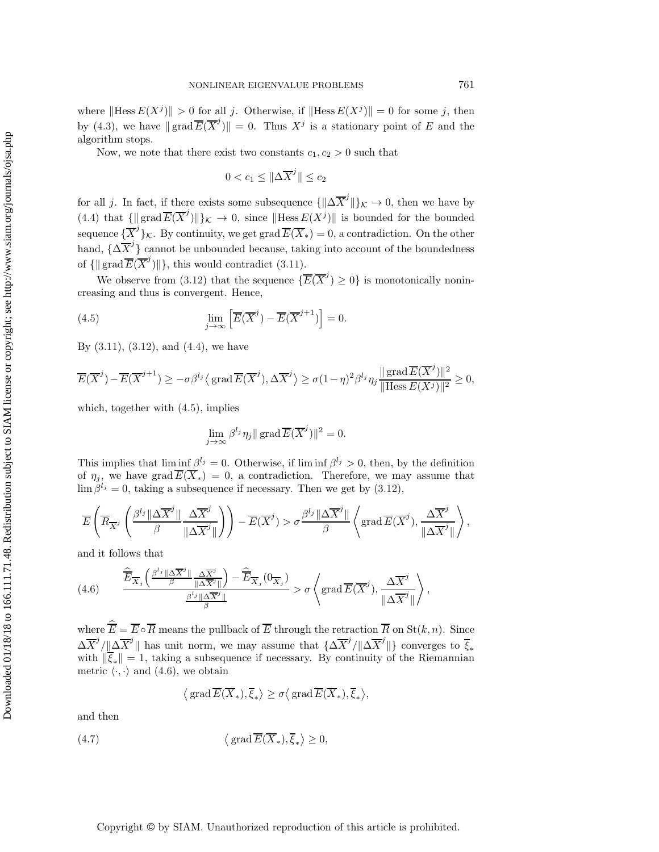where  $\|\text{Hess }E(X^j)\| > 0$  for all j. Otherwise, if  $\|\text{Hess }E(X^j)\| = 0$  for some j, then by [\(4.3\)](#page-8-1), we have  $||\text{grad }\overline{E}(\overline{X}^j)|| = 0$ . Thus  $X^j$  is a stationary point of E and the algorithm stops.

Now, we note that there exist two constants  $c_1, c_2 > 0$  such that

<span id="page-9-0"></span>
$$
0 < c_1 \leq \|\Delta \overline{X}^j\| \leq c_2
$$

for all j. In fact, if there exists some subsequence  $\{\|\Delta \overline{X}^j\|\}_{\mathcal{K}} \to 0$ , then we have by [\(4.4\)](#page-8-2) that  $\{\parallel \text{grad}\,\overline{E}(\overline{X}^j)\rrbracket\}_{\mathcal{K}} \to 0$ , since  $\parallel$ Hess  $E(X^j)\parallel$  is bounded for the bounded sequence  $\{\overline{X}^j\}_{\mathcal{K}}$ . By continuity, we get grad  $\overline{E}(\overline{X}_*)=0$ , a contradiction. On the other hand,  $\{\Delta \overline{X}^j\}$  cannot be unbounded because, taking into account of the boundedness of  $\{\|\operatorname{grad}\overline{E}(\overline{X}^j)\|\}$ , this would contradict [\(3.11\)](#page-7-1).

We observe from [\(3.12\)](#page-7-4) that the sequence  $\{\overline{E}(\overline{X}^j) \geq 0\}$  is monotonically nonincreasing and thus is convergent. Hence,

(4.5) 
$$
\lim_{j \to \infty} \left[ \overline{E}(\overline{X}^j) - \overline{E}(\overline{X}^{j+1}) \right] = 0.
$$

By  $(3.11)$ ,  $(3.12)$ , and  $(4.4)$ , we have

$$
\overline{E}(\overline{X}^j) - \overline{E}(\overline{X}^{j+1}) \ge -\sigma \beta^{l_j} \langle \operatorname{grad} \overline{E}(\overline{X}^j), \Delta \overline{X}^j \rangle \ge \sigma (1-\eta)^2 \beta^{l_j} \eta_j \frac{\|\operatorname{grad} \overline{E}(\overline{X}^j)\|^2}{\|\operatorname{Hess} E(X^j)\|^2} \ge 0,
$$

which, together with [\(4.5\)](#page-9-0), implies

$$
\lim_{j \to \infty} \beta^{l_j} \eta_j \| \operatorname{grad} \overline{E}(\overline{X}^j) \|^2 = 0.
$$

This implies that  $\liminf \beta^{l_j} = 0$ . Otherwise, if  $\liminf \beta^{l_j} > 0$ , then, by the definition of  $\eta_j$ , we have grad  $\overline{E}(\overline{X}_*) = 0$ , a contradiction. Therefore, we may assume that  $\lim \beta^{l_j} = 0$ , taking a subsequence if necessary. Then we get by [\(3.12\)](#page-7-4),

$$
\overline{E}\left(\overline{R}_{\overline{X}^{j}}\left(\frac{\beta^{l_{j}}\|\Delta\overline{X}^{j}\|}{\beta}\frac{\Delta\overline{X}^{j}}{\|\Delta\overline{X}^{j}\|}\right)\right)-\overline{E}(\overline{X}^{j})>\sigma\frac{\beta^{l_{j}}\|\Delta\overline{X}^{j}\|}{\beta}\left\langle\operatorname{grad}\overline{E}(\overline{X}^{j}),\frac{\Delta\overline{X}^{j}}{\|\Delta\overline{X}^{j}\|}\right\rangle,
$$

<span id="page-9-1"></span>and it follows that

(4.6) 
$$
\frac{\widehat{\overline{E}}_{\overline{X}_j}\left(\frac{\beta^{l_j}\|\Delta\overline{X}^j\|}{\beta}\frac{\Delta\overline{X}^j}{\|\Delta\overline{X}^j\|}\right)-\widehat{\overline{E}}_{\overline{X}_j}(0_{\overline{X}_j})}{\frac{\beta^{l_j}\|\Delta\overline{X}^j\|}{\beta}}> \sigma\left\langle\operatorname{grad}\overline{E}(\overline{X}^j),\frac{\Delta\overline{X}^j}{\|\Delta\overline{X}^j\|}\right\rangle,
$$

where  $E = E \circ R$  means the pullback of E through the retraction R on  $\text{St}(k, n)$ . Since  $\Delta \overline{X}^j / \|\Delta \overline{X}^j\|$  has unit norm, we may assume that  $\{\Delta \overline{X}^j / \|\Delta \overline{X}^j\|\}$  converges to  $\overline{\xi}_*$ with  $\|\overline{\xi}_*\| = 1$ , taking a subsequence if necessary. By continuity of the Riemannian metric  $\langle \cdot, \cdot \rangle$  and [\(4.6\)](#page-9-1), we obtain

$$
\big\langle \operatorname{grad} \overline{E}(\overline{X}_*), \overline{\xi}_* \big\rangle \ge \sigma \big\langle \operatorname{grad} \overline{E}(\overline{X}_*), \overline{\xi}_* \big\rangle,
$$

<span id="page-9-2"></span>and then

(4.7) 
$$
\langle \text{grad } \overline{E}(\overline{X}_*), \overline{\xi}_* \rangle \ge 0,
$$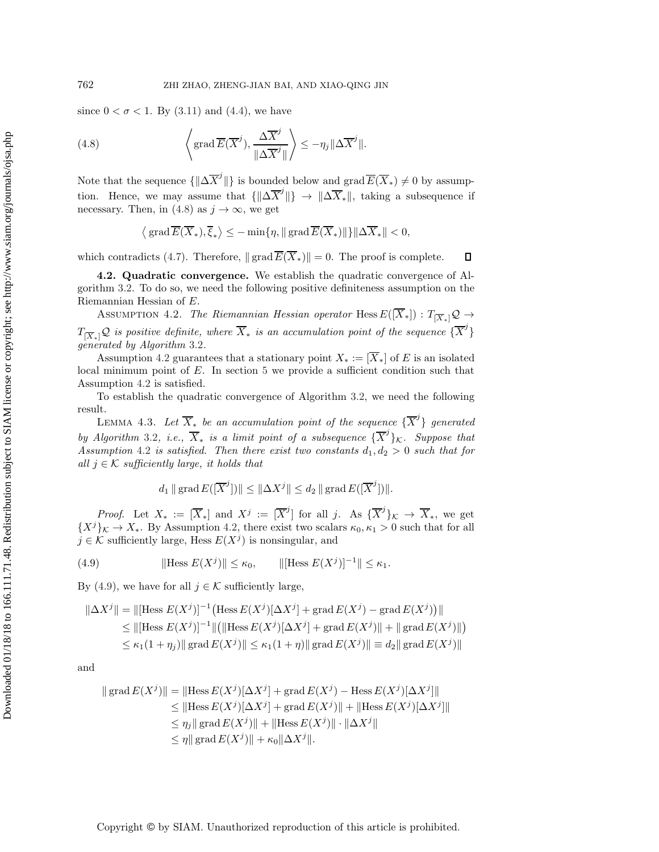since  $0 < \sigma < 1$ . By [\(3.11\)](#page-7-1) and [\(4.4\)](#page-8-2), we have

(4.8) 
$$
\left\langle \text{grad}\,\overline{E}(\overline{X}^j), \frac{\Delta \overline{X}^j}{\|\Delta \overline{X}^j\|} \right\rangle \leq -\eta_j \|\Delta \overline{X}^j\|.
$$

Note that the sequence  $\{ \|\Delta \overline{X}^j\|\}$  is bounded below and  $\text{grad }\overline{E}(\overline{X}_*) \neq 0$  by assumption. Hence, we may assume that  $\{||\Delta \overline{X}^j||\} \rightarrow ||\Delta \overline{X}_*||$ , taking a subsequence if necessary. Then, in [\(4.8\)](#page-10-0) as  $j \to \infty$ , we get

<span id="page-10-1"></span><span id="page-10-0"></span>
$$
\langle \operatorname{grad} \overline{E}(\overline{X}_*), \overline{\xi}_* \rangle \le - \min \{ \eta, \| \operatorname{grad} \overline{E}(\overline{X}_*) \| \} \|\Delta \overline{X}_* \| < 0,
$$

which contradicts [\(4.7\)](#page-9-2). Therefore,  $\|\operatorname{grad} \overline{E}(\overline{X}_*)\| = 0$ . The proof is complete.  $\Box$ 

**4.2. Quadratic convergence.** We establish the quadratic convergence of Algorithm [3.2.](#page-7-2) To do so, we need the following positive definiteness assumption on the Riemannian Hessian of E.

Assumption 4.2. *The Riemannian Hessian operator* Hess  $E([\overline{X}_*]) : T_{[\overline{X}_*]} \mathcal{Q} \to$  $T_{\{\overline{X}_*\}}\mathcal{Q}$  is positive definite, where  $\overline{X}_*$  is an accumulation point of the sequence  $\{\overline{X}^j\}$ *generated by Algorithm* [3.2](#page-7-2)*.*

Assumption [4.2](#page-10-1) guarantees that a stationary point  $X_* := \overline{X}_*$  of E is an isolated local minimum point of E. In section [5](#page-14-0) we provide a sufficient condition such that Assumption [4.2](#page-10-1) is satisfied.

To establish the quadratic convergence of Algorithm [3.2,](#page-7-2) we need the following result.

<span id="page-10-3"></span>LEMMA 4.3. Let  $\overline{X}_*$  be an accumulation point of the sequence  $\{\overline{X}^j\}$  generated *by Algorithm* [3.2](#page-7-2), *i.e.*,  $\overline{X}_*$  *is a limit point of a subsequence*  ${\overline{X}}^j$ <sub>K</sub>. Suppose that Assumption [4.2](#page-10-1) *is satisfied. Then there exist two constants*  $d_1, d_2 > 0$  *such that for all*  $j \in \mathcal{K}$  *sufficiently large, it holds that* 

<span id="page-10-2"></span>
$$
d_1 \| grad E([\overline{X}^j]) \| \leq ||\Delta X^j|| \leq d_2 || grad E([\overline{X}^j])||.
$$

*Proof.* Let  $X_* := [\overline{X}_*]$  and  $X^j := [\overline{X}^j]$  for all j. As  $\{\overline{X}^j\}_K \to \overline{X}_*$ , we get  ${X^{j}}_K \to X_*$ . By Assumption [4.2,](#page-10-1) there exist two scalars  $\kappa_0, \kappa_1 > 0$  such that for all  $j \in \mathcal{K}$  sufficiently large, Hess  $E(X^{j})$  is nonsingular, and

(4.9) 
$$
\|\text{Hess } E(X^j)\| \le \kappa_0, \qquad \|\text{[Hess } E(X^j)\|^{-1}\| \le \kappa_1.
$$

By [\(4.9\)](#page-10-2), we have for all  $j \in \mathcal{K}$  sufficiently large,

$$
\|\Delta X^j\| = \|[\text{Hess } E(X^j)]^{-1} \left( \text{Hess } E(X^j) [\Delta X^j] + \text{grad } E(X^j) - \text{grad } E(X^j) \right) \|
$$
  
\n
$$
\leq \|[\text{Hess } E(X^j)]^{-1} \| (\|\text{Hess } E(X^j) [\Delta X^j] + \text{grad } E(X^j) \| + \| \text{grad } E(X^j) \|)
$$
  
\n
$$
\leq \kappa_1 (1 + \eta_j) \| \text{grad } E(X^j) \| \leq \kappa_1 (1 + \eta) \| \text{grad } E(X^j) \| \equiv d_2 \| \text{grad } E(X^j) \|
$$

and

$$
\| \operatorname{grad} E(X^j) \| = \| \operatorname{Hess} E(X^j) [\Delta X^j] + \operatorname{grad} E(X^j) - \operatorname{Hess} E(X^j) [\Delta X^j] \|
$$
  
\n
$$
\leq \| \operatorname{Hess} E(X^j) [\Delta X^j] + \operatorname{grad} E(X^j) \| + \| \operatorname{Hess} E(X^j) [\Delta X^j] \|
$$
  
\n
$$
\leq \eta_j \| \operatorname{grad} E(X^j) \| + \| \operatorname{Hess} E(X^j) \| \cdot \| \Delta X^j \|
$$
  
\n
$$
\leq \eta \| \operatorname{grad} E(X^j) \| + \kappa_0 \| \Delta X^j \|.
$$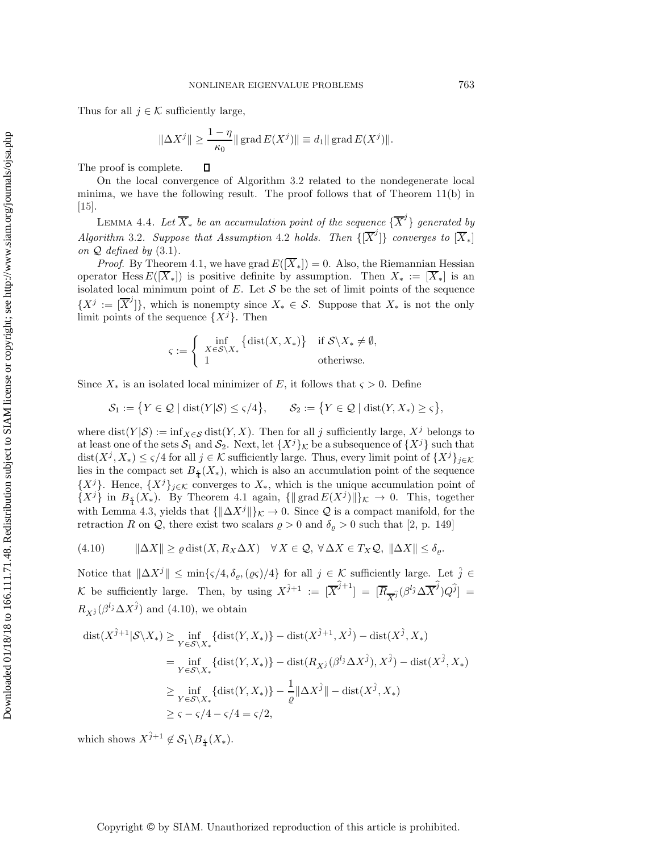Thus for all  $j \in \mathcal{K}$  sufficiently large,

$$
\|\Delta X^j\|\geq \frac{1-\eta}{\kappa_0}\|\mathop{\rm{grad}}\nolimits E(X^j)\|\equiv d_1\|\mathop{\rm{grad}}\nolimits E(X^j)\|.
$$

The proof is complete. П

On the local convergence of Algorithm [3.2](#page-7-2) related to the nondegenerate local minima, we have the following result. The proof follows that of Theorem 11(b) in [\[15\]](#page-21-16).

<span id="page-11-1"></span>LEMMA 4.4. Let  $\overline{X}_*$  be an accumulation point of the sequence  $\{\overline{X}^j\}$  generated by *Algorithm* [3.2](#page-7-2)*. Suppose that Assumption* [4.2](#page-10-1) *holds.* Then  $\{[\overline{X}^j]\}$  *converges to*  $[\overline{X}_*]$ *on* Q *defined by* [\(3.1\)](#page-3-2)*.*

*Proof.* By Theorem [4.1,](#page-8-3) we have grad  $E([\overline{X}_*]) = 0$ . Also, the Riemannian Hessian operator Hess  $E([\overline{X}_*])$  is positive definite by assumption. Then  $X_* := [\overline{X}_*]$  is an isolated local minimum point of  $E$ . Let  $S$  be the set of limit points of the sequence  $\{X^j := [\overline{X}^j]\},\$  which is nonempty since  $X_* \in \mathcal{S}$ . Suppose that  $X_*$  is not the only limit points of the sequence  $\{X^{j}\}\$ . Then

<span id="page-11-0"></span>
$$
\varsigma := \left\{ \begin{array}{ll} \inf\limits_{X \in \mathcal{S} \backslash X_*} \left\{ \mathrm{dist}(X,X_*) \right\} & \text{if $\mathcal{S} \backslash X_* \neq \emptyset$,} \\ 1 & \text{otherwise.} \end{array} \right.
$$

Since  $X_*$  is an isolated local minimizer of E, it follows that  $\varsigma > 0$ . Define

$$
\mathcal{S}_1 := \big\{ Y \in \mathcal{Q} \mid \text{dist}(Y|\mathcal{S}) \le \varsigma/4 \big\}, \qquad \mathcal{S}_2 := \big\{ Y \in \mathcal{Q} \mid \text{dist}(Y, X_*) \ge \varsigma \big\},
$$

where  $dist(Y|S) := inf_{X \in S} dist(Y, X)$ . Then for all j sufficiently large,  $X<sup>j</sup>$  belongs to at least one of the sets  $S_1$  and  $S_2$ . Next, let  $\{X^j\}_k$  be a subsequence of  $\{X^j\}$  such that  $dist(X^j, X_*) \le \varsigma/4$  for all  $j \in \mathcal{K}$  sufficiently large. Thus, every limit point of  $\{X^j\}_{j \in \mathcal{K}}$ lies in the compact set  $B_{\frac{5}{4}}(X_*)$ , which is also an accumulation point of the sequence  $\{X^j\}$ . Hence,  $\{X^j\}_{j\in\mathcal{K}}$  converges to  $X_*$ , which is the unique accumulation point of  $\{X^j\}$  in  $B_{\frac{5}{4}}(X_*)$ . By Theorem [4.1](#page-8-3) again,  $\{\|\operatorname{grad} E(X^j)\|\}_{\mathcal{K}} \to 0$ . This, together with Lemma [4.3,](#page-10-3) yields that  ${\{\|\Delta X^j\|\}}\kappa \to 0$ . Since Q is a compact manifold, for the retraction R on Q, there exist two scalars  $\rho > 0$  and  $\delta_{\rho} > 0$  such that [\[2,](#page-21-8) p. 149]

$$
(4.10) \qquad \|\Delta X\| \ge \varrho \operatorname{dist}(X, R_X \Delta X) \quad \forall X \in \mathcal{Q}, \ \forall \Delta X \in T_X \mathcal{Q}, \ \|\Delta X\| \le \delta_\varrho.
$$

Notice that  $\|\Delta X^j\| \leq \min\{\varsigma/4, \delta_\varrho, (\varrho\varsigma)/4\}$  for all  $j \in \mathcal{K}$  sufficiently large. Let  $\hat{j} \in \mathcal{K}$ Notice that  $\|\Delta X^j\| \le \min\{\varsigma/4, \delta_\varrho, (\varrho\varsigma)/4\}$  for all  $j \in \mathcal{K}$  sufficiently large. Let  $\hat{j} \in \mathcal{K}$  be sufficiently large. Then, by using  $X^{\hat{j}+1} := [\overline{X}^{\hat{j}+1}] = [\overline{R}_{\overline{X}^{\hat{j}}}(\beta^{l_{\hat{j}}}\Delta \overline{X}^{\hat{j}})Q^{\hat{j}}] =$  $R_{\chi i}(\beta^{l_i}\Delta X^{\hat{j}})$  and [\(4.10\)](#page-11-0), we obtain

$$
\operatorname{dist}(X^{\hat{j}+1}|\mathcal{S}\backslash X_*) \ge \inf_{Y \in \mathcal{S}\backslash X_*} \{\operatorname{dist}(Y, X_*)\} - \operatorname{dist}(X^{\hat{j}+1}, X^{\hat{j}}) - \operatorname{dist}(X^{\hat{j}}, X_*)
$$
\n
$$
= \inf_{Y \in \mathcal{S}\backslash X_*} \{\operatorname{dist}(Y, X_*)\} - \operatorname{dist}(R_{X^{\hat{j}}}(\beta^{l_{\hat{j}}} \Delta X^{\hat{j}}), X^{\hat{j}}) - \operatorname{dist}(X^{\hat{j}}, X_*)
$$
\n
$$
\ge \inf_{Y \in \mathcal{S}\backslash X_*} \{\operatorname{dist}(Y, X_*)\} - \frac{1}{\varrho} \|\Delta X^{\hat{j}}\| - \operatorname{dist}(X^{\hat{j}}, X_*)
$$
\n
$$
\ge 1 \le j \le -\varsigma/4 - \varsigma/4 = \varsigma/2,
$$

which shows  $X^{\hat{j}+1} \notin \mathcal{S}_1 \backslash B_{\frac{5}{4}}(X_*)$ .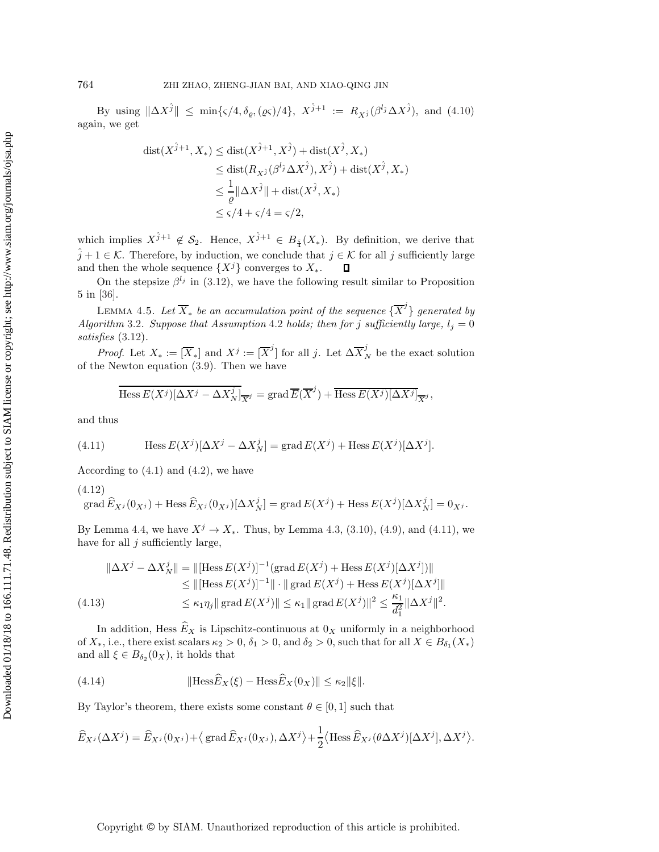By using  $\|\Delta X^{\hat{j}}\| \leq \min\{\varsigma/4, \delta_{\varrho},(\varrho\varsigma)/4\},\ X^{\hat{j}+1} := R_{X^{\hat{j}}}(\beta^{l_{\hat{j}}} \Delta X^{\hat{j}}),\ \text{and}\ (4.10)$  $\|\Delta X^{\hat{j}}\| \leq \min\{\varsigma/4, \delta_{\varrho},(\varrho\varsigma)/4\},\ X^{\hat{j}+1} := R_{X^{\hat{j}}}(\beta^{l_{\hat{j}}} \Delta X^{\hat{j}}),\ \text{and}\ (4.10)$ again, we get

$$
dist(X^{\hat{j}+1}, X_*) \leq dist(X^{\hat{j}+1}, X^{\hat{j}}) + dist(X^{\hat{j}}, X_*)
$$
  
\n
$$
\leq dist(R_{X^{\hat{j}}}(\beta^{l_{\hat{j}}} \Delta X^{\hat{j}}), X^{\hat{j}}) + dist(X^{\hat{j}}, X_*)
$$
  
\n
$$
\leq \frac{1}{\varrho} \|\Delta X^{\hat{j}}\| + dist(X^{\hat{j}}, X_*)
$$
  
\n
$$
\leq \varsigma/4 + \varsigma/4 = \varsigma/2,
$$

which implies  $X^{\hat{j}+1} \notin \mathcal{S}_2$ . Hence,  $X^{\hat{j}+1} \in B_{\frac{\varsigma}{4}}(X_*)$ . By definition, we derive that  $\hat{j} + 1 \in \mathcal{K}$ . Therefore, by induction, we conclude that  $j \in \mathcal{K}$  for all j sufficiently large and then the whole sequence  $\{X^j\}$  converges to  $X_*$ .  $\Box$ 

<span id="page-12-4"></span>On the stepsize  $\beta^{l_j}$  in [\(3.12\)](#page-7-4), we have the following result similar to Proposition 5 in [\[36\]](#page-22-21).

LEMMA 4.5. Let  $\overline{X}_*$  be an accumulation point of the sequence  $\{\overline{X}^j\}$  generated by *Algorithm* [3.2](#page-7-2)*. Suppose that Assumption* [4.2](#page-10-1) *holds; then for j sufficiently large,*  $l_j = 0$ *satisfies* [\(3.12\)](#page-7-4)*.*

*Proof.* Let  $X_* := [\overline{X}_*]$  and  $X^j := [\overline{X}^j]$  for all j. Let  $\Delta \overline{X}_N^j$  be the exact solution of the Newton equation [\(3.9\)](#page-7-3). Then we have

<span id="page-12-1"></span><span id="page-12-0"></span>
$$
\overline{\text{Hess }E(X^j)[\Delta X^j - \Delta X_N^j]}_{\overline{X}^j} = \text{grad }\overline{E}(\overline{X}^j) + \overline{\text{Hess }E(X^j)[\Delta X^j]}_{\overline{X}^j},
$$

and thus

(4.11) 
$$
\text{Hess } E(X^j)[\Delta X^j - \Delta X_N^j] = \text{grad } E(X^j) + \text{Hess } E(X^j)[\Delta X^j].
$$

According to  $(4.1)$  and  $(4.2)$ , we have

(4.12)  
grad 
$$
\widehat{E}_{X^j}(0_{X^j})
$$
 + Hess  $\widehat{E}_{X^j}(0_{X^j})[\Delta X^j_N]$  = grad  $E(X^j)$  + Hess  $E(X^j)[\Delta X^j_N] = 0_{X^j}$ .

By Lemma [4.4,](#page-11-1) we have  $X^j \to X_*$ . Thus, by Lemma [4.3,](#page-10-3) [\(3.10\)](#page-7-0), [\(4.9\)](#page-10-2), and [\(4.11\)](#page-12-0), we have for all  $j$  sufficiently large,

<span id="page-12-2"></span>
$$
\|\Delta X^{j} - \Delta X_{N}^{j}\| = \|[\text{Hess}\,E(X^{j})]^{-1}(\text{grad}\,E(X^{j}) + \text{Hess}\,E(X^{j})[\Delta X^{j}])\|
$$
  
\n
$$
\leq \|[\text{Hess}\,E(X^{j})]^{-1}\| \cdot \| \text{grad}\,E(X^{j}) + \text{Hess}\,E(X^{j})[\Delta X^{j}]\|
$$
  
\n
$$
\leq \kappa_{1}\eta_{j} \| \text{grad}\,E(X^{j})\| \leq \kappa_{1} \| \text{grad}\,E(X^{j})\|^{2} \leq \frac{\kappa_{1}}{d_{1}^{2}} \|\Delta X^{j}\|^{2}.
$$

In addition, Hess  $\hat{E}_X$  is Lipschitz-continuous at  $0_X$  uniformly in a neighborhood of  $X_*$ , i.e., there exist scalars  $\kappa_2 > 0$ ,  $\delta_1 > 0$ , and  $\delta_2 > 0$ , such that for all  $X \in B_{\delta_1}(X_*)$ and all  $\xi \in B_{\delta_2}(0_X)$ , it holds that

<span id="page-12-3"></span>(4.14) 
$$
\|\text{Hess}\widehat{E}_X(\xi) - \text{Hess}\widehat{E}_X(0_X)\| \leq \kappa_2 \|\xi\|.
$$

By Taylor's theorem, there exists some constant  $\theta \in [0, 1]$  such that

$$
\widehat{E}_{X^j}(\Delta X^j) = \widehat{E}_{X^j}(0_{X^j}) + \langle \operatorname{grad} \widehat{E}_{X^j}(0_{X^j}), \Delta X^j \rangle + \frac{1}{2} \langle \operatorname{Hess} \widehat{E}_{X^j}(\theta \Delta X^j) [\Delta X^j], \Delta X^j \rangle.
$$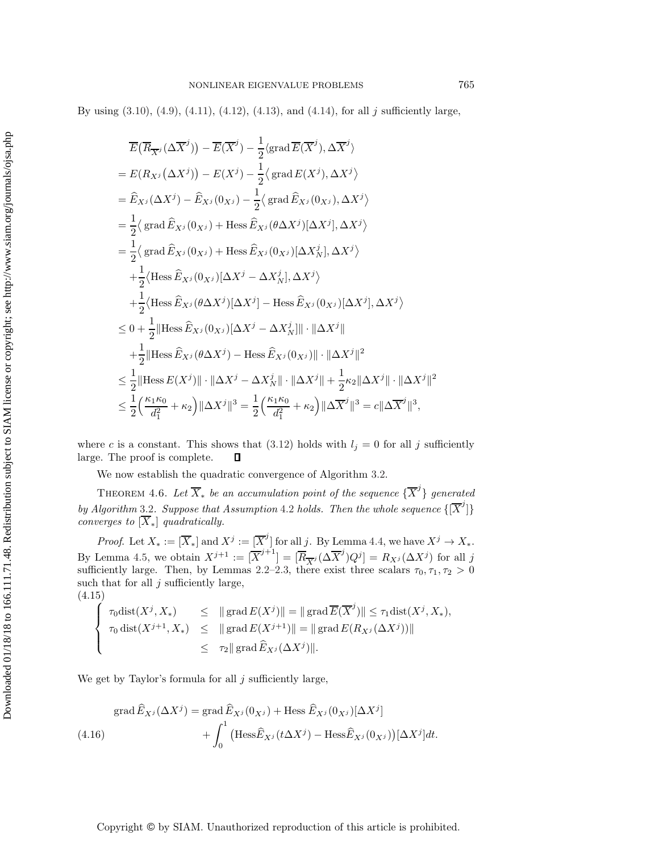By using  $(3.10)$ ,  $(4.9)$ ,  $(4.11)$ ,  $(4.12)$ ,  $(4.13)$ , and  $(4.14)$ , for all j sufficiently large,

$$
\overline{E}(\overline{R}_{\overline{X}^{j}}(\Delta \overline{X}^{j})) - \overline{E}(\overline{X}^{j}) - \frac{1}{2} \langle \text{grad } \overline{E}(\overline{X}^{j}), \Delta \overline{X}^{j} \rangle
$$
\n
$$
= E(R_{X^{j}}(\Delta X^{j})) - E(X^{j}) - \frac{1}{2} \langle \text{grad } E(X^{j}), \Delta X^{j} \rangle
$$
\n
$$
= \hat{E}_{X^{j}}(\Delta X^{j}) - \hat{E}_{X^{j}}(0_{X^{j}}) - \frac{1}{2} \langle \text{grad } \hat{E}_{X^{j}}(0_{X^{j}}), \Delta X^{j} \rangle
$$
\n
$$
= \frac{1}{2} \langle \text{grad } \hat{E}_{X^{j}}(0_{X^{j}}) + \text{Hess } \hat{E}_{X^{j}}(\theta \Delta X^{j})[\Delta X^{j}], \Delta X^{j} \rangle
$$
\n
$$
= \frac{1}{2} \langle \text{grad } \hat{E}_{X^{j}}(0_{X^{j}}) + \text{Hess } \hat{E}_{X^{j}}(0_{X^{j}})[\Delta X^{j}], \Delta X^{j} \rangle
$$
\n
$$
+ \frac{1}{2} \langle \text{Hess } \hat{E}_{X^{j}}(0_{X^{j}})[\Delta X^{j} - \Delta X^{j}_{N}], \Delta X^{j} \rangle
$$
\n
$$
+ \frac{1}{2} \langle \text{Hess } \hat{E}_{X^{j}}(\theta \Delta X^{j})[\Delta X^{j}] - \text{Hess } \hat{E}_{X^{j}}(0_{X^{j}})[\Delta X^{j}], \Delta X^{j} \rangle
$$
\n
$$
\leq 0 + \frac{1}{2} || \text{Hess } \hat{E}_{X^{j}}(0_{X^{j}})[\Delta X^{j} - \Delta X^{j}_{N} || \cdot ||\Delta X^{j} ||
$$
\n
$$
+ \frac{1}{2} || \text{Hess } \hat{E}_{X^{j}}(\theta \Delta X^{j}) - \text{Hess } \hat{E}_{X^{j}}(0_{X^{j}}) || \cdot ||\Delta X^{j} ||^{2}
$$
\n
$$
\leq \frac{1}{2} || \text{Hess } E(X^{j}) || \cdot ||\Delta X^{j} - \Delta X^{j}_{N} || \cdot ||\Delta X^{j} ||^{2
$$

where c is a constant. This shows that [\(3.12\)](#page-7-4) holds with  $l_j = 0$  for all j sufficiently large. The proof is complete.  $\Box$ 

We now establish the quadratic convergence of Algorithm [3.2.](#page-7-2)

THEOREM 4.6. Let  $\overline{X}_*$  be an accumulation point of the sequence  $\{\overline{X}^j\}$  generated *by Algorithm* [3.2](#page-7-2). Suppose that Assumption [4.2](#page-10-1) *holds. Then the whole sequence*  $\{[\overline{X}^j]\}$ *converges to*  $[\overline{X}_*]$  *quadratically.* 

*Proof.* Let  $X_* := [\overline{X}_*]$  and  $X^j := [\overline{X}^j]$  for all j. By Lemma [4.4,](#page-11-1) we have  $X^j \to X_*$ . By Lemma [4.5,](#page-12-4) we obtain  $X_j^{j+1} := [\overline{X}_j^{j+1}] = [\overline{R}_{\overline{X}_j} (\Delta \overline{X}_j^j) Q_j] = R_{X_j} (\Delta X_j)$  for all j sufficiently large. Then, by Lemmas [2.2](#page-3-3)[–2.3,](#page-3-4) there exist three scalars  $\tau_0, \tau_1, \tau_2 > 0$ such that for all  $j$  sufficiently large, (4.15)

<span id="page-13-0"></span>
$$
\begin{cases}\n\tau_0 \text{dist}(X^j, X_*) \leq \|\operatorname{grad} E(X^j)\| = \|\operatorname{grad} \overline{E}(\overline{X}^j)\| \leq \tau_1 \text{dist}(X^j, X_*), \\
\tau_0 \text{dist}(X^{j+1}, X_*) \leq \|\operatorname{grad} E(X^{j+1})\| = \|\operatorname{grad} E(R_{X^j}(\Delta X^j))\| \\
\leq \tau_2 \|\operatorname{grad} \widehat{E}_{X^j}(\Delta X^j)\|.\n\end{cases}
$$

We get by Taylor's formula for all  $j$  sufficiently large,

<span id="page-13-1"></span>
$$
\operatorname{grad} \widehat{E}_{X^j}(\Delta X^j) = \operatorname{grad} \widehat{E}_{X^j}(0_{X^j}) + \operatorname{Hess} \widehat{E}_{X^j}(0_{X^j})[\Delta X^j]
$$
  

$$
+ \int_0^1 \left( \operatorname{Hess} \widehat{E}_{X^j}(t \Delta X^j) - \operatorname{Hess} \widehat{E}_{X^j}(0_{X^j}) \right) [\Delta X^j] dt.
$$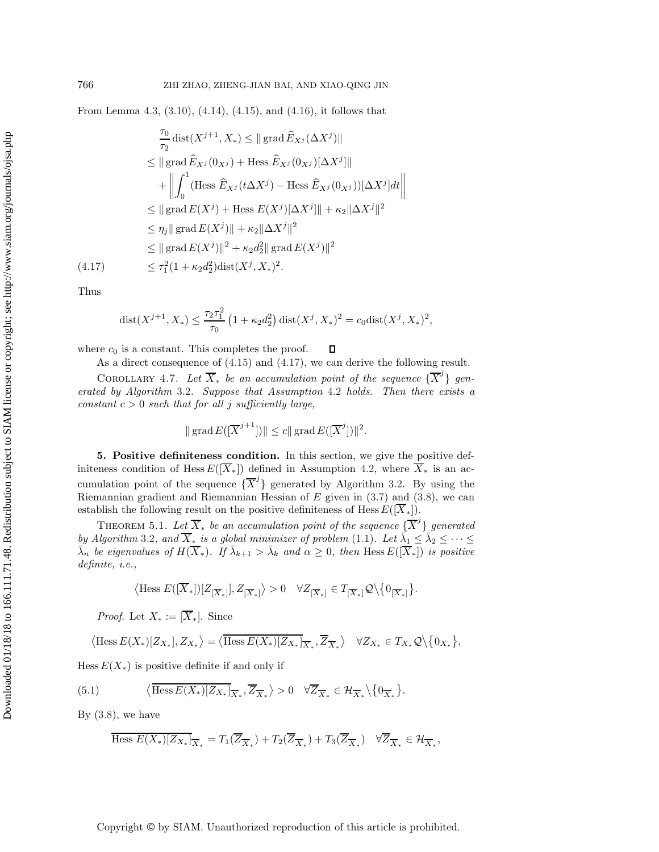From Lemma [4.3,](#page-10-3) [\(3.10\)](#page-7-0), [\(4.14\)](#page-12-3), [\(4.15\)](#page-13-0), and [\(4.16\)](#page-13-1), it follows that

<span id="page-14-1"></span>
$$
\frac{\tau_0}{\tau_2} \text{dist}(X^{j+1}, X_*) \le ||\text{grad}\,\widehat{E}_{X^j}(\Delta X^j)||
$$
\n
$$
\le ||\text{grad}\,\widehat{E}_{X^j}(0_{X^j}) + \text{Hess}\,\widehat{E}_{X^j}(0_{X^j})[\Delta X^j]||
$$
\n
$$
+ \left\| \int_0^1 (\text{Hess}\,\widehat{E}_{X^j}(t\Delta X^j) - \text{Hess}\,\widehat{E}_{X^j}(0_{X^j}))[\Delta X^j]dt \right\|
$$
\n
$$
\le ||\text{grad}\,E(X^j) + \text{Hess}\,E(X^j)[\Delta X^j]|| + \kappa_2 \|\Delta X^j\|^2
$$
\n
$$
\le ||\text{grad}\,E(X^j)|| + \kappa_2 \|\Delta X^j\|^2
$$
\n
$$
\le ||\text{grad}\,E(X^j)||^2 + \kappa_2 d_2^2 ||\text{grad}\,E(X^j)||^2
$$
\n(4.17)\n
$$
\le \tau_1^2 (1 + \kappa_2 d_2^2) \text{dist}(X^j, X_*)^2.
$$

Thus

$$
dist(X^{j+1}, X_*) \le \frac{\tau_2 \tau_1^2}{\tau_0} \left(1 + \kappa_2 d_2^2\right) dist(X^j, X_*)^2 = c_0 dist(X^j, X_*)^2,
$$

where  $c_0$  is a constant. This completes the proof.  $\Box$ 

As a direct consequence of [\(4.15\)](#page-13-0) and [\(4.17\)](#page-14-1), we can derive the following result.

COROLLARY 4.7. Let  $\overline{X}_*$  be an accumulation point of the sequence  $\{\overline{X}^j\}$  gen*erated by Algorithm* [3.2](#page-7-2)*. Suppose that Assumption* [4.2](#page-10-1) *holds. Then there exists a constant*  $c > 0$  *such that for all* j *sufficiently large,* 

<span id="page-14-3"></span>
$$
\|\operatorname{grad} E([\overline{X}^{j+1}])\| \le c \|\operatorname{grad} E([\overline{X}^{j}])\|^{2}.
$$

<span id="page-14-0"></span>**5. Positive definiteness condition.** In this section, we give the positive definiteness condition of Hess  $E([\overline{X}_*])$  defined in Assumption [4.2,](#page-10-1) where  $\overline{X}_*$  is an accumulation point of the sequence  $\{\overline{X}^j\}$  generated by Algorithm [3.2.](#page-7-2) By using the Riemannian gradient and Riemannian Hessian of  $E$  given in  $(3.7)$  and  $(3.8)$ , we can establish the following result on the positive definiteness of Hess  $E([\overline{X}_*])$ .

THEOREM 5.1. Let  $\overline{X}_*$  be an accumulation point of the sequence  $\{\overline{X}^j\}$  generated *by Algorithm* [3.2](#page-7-2)*, and*  $\overline{X}_*$  *is a global minimizer of problem* [\(1.1\)](#page-0-0)*.* Let  $\overline{\lambda}_1 \leq \overline{\lambda}_2 \leq \cdots \leq$  $\bar{\lambda}_n$  *be eigenvalues of*  $H(\overline{X}_*)$ *. If*  $\bar{\lambda}_{k+1} > \bar{\lambda}_k$  *and*  $\alpha \geq 0$ *, then* Hess  $E([\overline{X}_*])$  *is positive definite, i.e.,*

<span id="page-14-2"></span>
$$
\left\langle \text{Hess } E([\overline{X}_*])[Z_{[\overline{X}_*]}], Z_{[\overline{X}_*]} \right\rangle > 0 \quad \forall Z_{[\overline{X}_*]} \in T_{[\overline{X}_*]} \mathcal{Q} \backslash \{0_{[\overline{X}_*]} \}.
$$

*Proof.* Let  $X_* := [\overline{X}_*]$ . Since

$$
\langle \text{Hess } E(X_*)[Z_{X_*}], Z_{X_*} \rangle = \langle \overline{\text{Hess } E(X_*)[Z_{X_*}]}_{\overline{X}_*}, \overline{Z}_{\overline{X}_*} \rangle \quad \forall Z_{X_*} \in T_{X_*} \mathcal{Q} \setminus \{0_{X_*}\},
$$

Hess  $E(X_*)$  is positive definite if and only if

(5.1) 
$$
\langle \overline{\text{Hess } E(X_*)} \overline{Z_{X_*}} \overline{Z}_{\overline{X}_*}, \overline{Z}_{\overline{X}_*} \rangle > 0 \quad \forall \overline{Z}_{\overline{X}_*} \in \mathcal{H}_{\overline{X}_*} \setminus \{0_{\overline{X}_*}\}.
$$

By  $(3.8)$ , we have

$$
\overline{\text{Hess }E(X_*)[Z_{X_*}]}_{\overline{X}_*} = T_1(\overline{Z}_{\overline{X}_*}) + T_2(\overline{Z}_{\overline{X}_*}) + T_3(\overline{Z}_{\overline{X}_*}) \quad \forall \overline{Z}_{\overline{X}_*} \in \mathcal{H}_{\overline{X}_*},
$$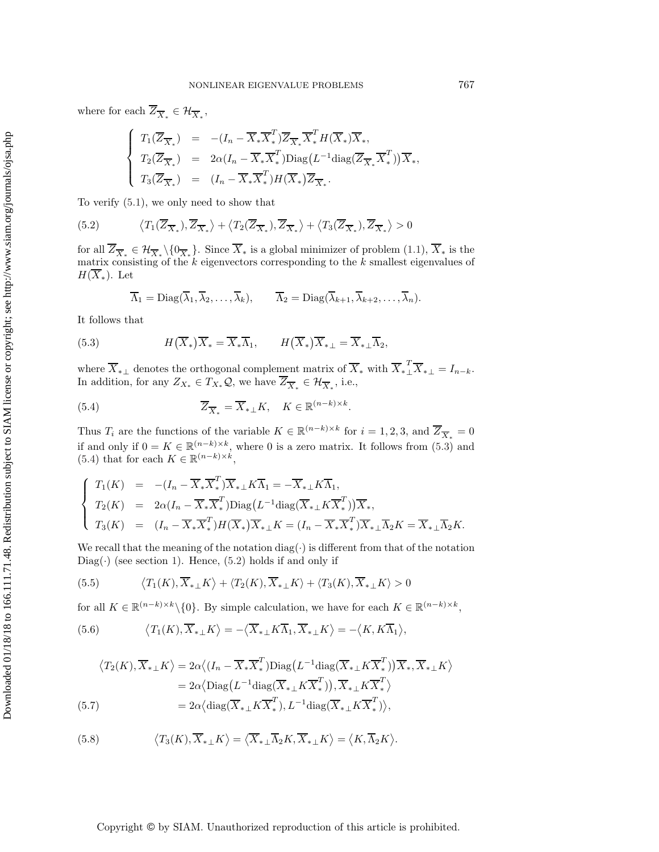where for each  $\overline{Z}_{\overline{X}*} \in \mathcal{H}_{\overline{X}*},$ 

<span id="page-15-2"></span>
$$
\begin{cases}\nT_1(\overline{Z}_{\overline{X}_*}) = -(I_n - \overline{X}_* \overline{X}_*^T) \overline{Z}_{\overline{X}_*} \overline{X}_*^T H(\overline{X}_*) \overline{X}_*, \\
T_2(\overline{Z}_{\overline{X}_*}) = 2\alpha (I_n - \overline{X}_* \overline{X}_*^T) \text{Diag}(L^{-1} \text{diag}(\overline{Z}_{\overline{X}_*} \overline{X}_*^T)) \overline{X}_*, \\
T_3(\overline{Z}_{\overline{X}_*}) = (I_n - \overline{X}_* \overline{X}_*^T) H(\overline{X}_*) \overline{Z}_{\overline{X}_*}.\n\end{cases}
$$

To verify [\(5.1\)](#page-14-2), we only need to show that

(5.2) 
$$
\langle T_1(\overline{Z}_{\overline{X}_*}), \overline{Z}_{\overline{X}_*}\rangle + \langle T_2(\overline{Z}_{\overline{X}_*}), \overline{Z}_{\overline{X}_*}\rangle + \langle T_3(\overline{Z}_{\overline{X}_*}), \overline{Z}_{\overline{X}_*}\rangle > 0
$$

for all  $\overline{Z}_{\overline{X}_*} \in \mathcal{H}_{\overline{X}_*} \setminus \{0_{\overline{X}_*}\}.$  Since  $\overline{X}_*$  is a global minimizer of problem  $(1.1), \overline{X}_*$  $(1.1), \overline{X}_*$  is the matrix consisting of the  $k$  eigenvectors corresponding to the  $k$  smallest eigenvalues of  $H(\overline{X}_*)$ . Let

<span id="page-15-1"></span><span id="page-15-0"></span>
$$
\overline{\Lambda}_1 = \mathrm{Diag}(\overline{\lambda}_1, \overline{\lambda}_2, \dots, \overline{\lambda}_k), \qquad \overline{\Lambda}_2 = \mathrm{Diag}(\overline{\lambda}_{k+1}, \overline{\lambda}_{k+2}, \dots, \overline{\lambda}_n).
$$

It follows that

(5.3) 
$$
H(\overline{X}_*)\overline{X}_* = \overline{X}_*\overline{\Lambda}_1, \qquad H(\overline{X}_*)\overline{X}_* = \overline{X}_*\perp \overline{\Lambda}_2,
$$

where  $\overline{X}_{*}$  denotes the orthogonal complement matrix of  $\overline{X}_{*}$  with  $\overline{X}_{*}^T \overline{X}_{*} = I_{n-k}$ . In addition, for any  $Z_{X_*} \in T_{X_*} \mathcal{Q}$ , we have  $\overline{Z}_{\overline{X}_*} \in \mathcal{H}_{\overline{X}_*}$ , i.e.,

(5.4) 
$$
\overline{Z}_{\overline{X}_*} = \overline{X}_{* \perp} K, \quad K \in \mathbb{R}^{(n-k) \times k}.
$$

Thus  $T_i$  are the functions of the variable  $K \in \mathbb{R}^{(n-k)\times k}$  for  $i = 1, 2, 3$ , and  $\overline{Z}_{\overline{X}_*} = 0$ if and only if  $0 = K \in \mathbb{R}^{(n-k)\times k}$ , where 0 is a zero matrix. It follows from  $(5.3)$  and [\(5.4\)](#page-15-1) that for each  $K \in \mathbb{R}^{(n-k)\times k}$ ,

$$
\begin{cases}\nT_1(K) = -(I_n - \overline{X}_* \overline{X}_*^T) \overline{X}_{* \perp} K \overline{\Lambda}_1 = -\overline{X}_{* \perp} K \overline{\Lambda}_1, \\
T_2(K) = 2\alpha (I_n - \overline{X}_* \overline{X}_*^T) \text{Diag}(L^{-1} \text{diag}(\overline{X}_{* \perp} K \overline{X}_*^T)) \overline{X}_*, \\
T_3(K) = (I_n - \overline{X}_* \overline{X}_*^T) H(\overline{X}_*) \overline{X}_{* \perp} K = (I_n - \overline{X}_* \overline{X}_*^T) \overline{X}_{* \perp} \overline{\Lambda}_2 K = \overline{X}_{* \perp} \overline{\Lambda}_2 K.\n\end{cases}
$$

We recall that the meaning of the notation diag( $\cdot$ ) is different from that of the notation  $Diag(\cdot)$  (see section [1\)](#page-0-2). Hence, [\(5.2\)](#page-15-2) holds if and only if

<span id="page-15-6"></span>(5.5) 
$$
\langle T_1(K), \overline{X}_{* \perp} K \rangle + \langle T_2(K), \overline{X}_{* \perp} K \rangle + \langle T_3(K), \overline{X}_{* \perp} K \rangle > 0
$$

for all  $K \in \mathbb{R}^{(n-k)\times k} \setminus \{0\}$ . By simple calculation, we have for each  $K \in \mathbb{R}^{(n-k)\times k}$ ,

<span id="page-15-4"></span>(5.6) 
$$
\langle T_1(K), \overline{X}_{* \perp} K \rangle = -\langle \overline{X}_{* \perp} K \overline{\Lambda}_1, \overline{X}_{* \perp} K \rangle = -\langle K, K \overline{\Lambda}_1 \rangle,
$$

<span id="page-15-3"></span>
$$
\langle T_2(K), \overline{X}_{* \perp} K \rangle = 2\alpha \langle (I_n - \overline{X}_* \overline{X}_*^T) \text{Diag}(L^{-1} \text{diag}(\overline{X}_{* \perp} K \overline{X}_*^T)) \overline{X}_*, \overline{X}_{* \perp} K \rangle
$$
  
= 2\alpha \langle \text{Diag}(L^{-1} \text{diag}(\overline{X}\_{\* \perp} K \overline{X}\_\*^T)), \overline{X}\_{\* \perp} K \overline{X}\_\*^T \rangle  
= 2\alpha \langle \text{diag}(\overline{X}\_{\* \perp} K \overline{X}\_\*^T), L^{-1} \text{diag}(\overline{X}\_{\* \perp} K \overline{X}\_\*^T) \rangle,

<span id="page-15-5"></span>(5.8) 
$$
\langle T_3(K), \overline{X}_{* \perp} K \rangle = \langle \overline{X}_{* \perp} \overline{\Lambda}_2 K, \overline{X}_{* \perp} K \rangle = \langle K, \overline{\Lambda}_2 K \rangle.
$$

## Copyright © by SIAM. Unauthorized reproduction of this article is prohibited.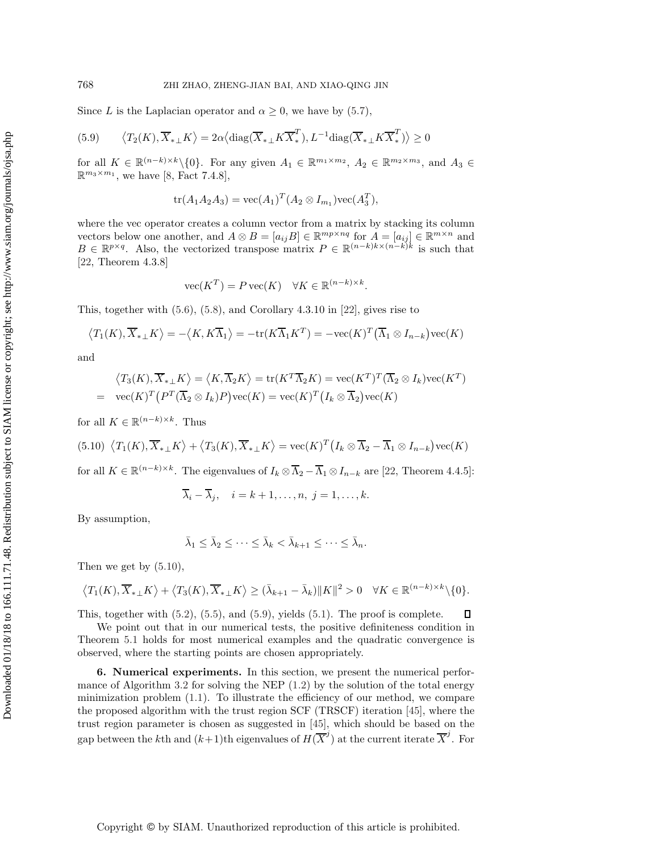Since L is the Laplacian operator and  $\alpha \geq 0$ , we have by [\(5.7\)](#page-15-3),

(5.9) 
$$
\langle T_2(K), \overline{X}_{* \perp} K \rangle = 2\alpha \langle \text{diag}(\overline{X}_{* \perp} K \overline{X}_*^T), L^{-1} \text{diag}(\overline{X}_{* \perp} K \overline{X}_*^T) \rangle \ge 0
$$

for all  $K \in \mathbb{R}^{(n-k)\times k} \setminus \{0\}$ . For any given  $A_1 \in \mathbb{R}^{m_1 \times m_2}$ ,  $A_2 \in \mathbb{R}^{m_2 \times m_3}$ , and  $A_3 \in$  $\mathbb{R}^{m_3 \times m_1}$ , we have [\[8,](#page-21-17) Fact 7.4.8],

<span id="page-16-2"></span>
$$
tr(A_1A_2A_3) = vec(A_1)^T (A_2 \otimes I_{m_1}) vec(A_3^T),
$$

where the vec operator creates a column vector from a matrix by stacking its column vectors below one another, and  $A \otimes B = [a_{ij}B] \in \mathbb{R}^{mp \times nq}$  for  $A = [a_{ij}] \in \mathbb{R}^{m \times n}$  and  $B \in \mathbb{R}^{p \times q}$ . Also, the vectorized transpose matrix  $P \in \mathbb{R}^{(n-k)k \times (n-k)k}$  is such that [\[22,](#page-21-18) Theorem 4.3.8]

$$
\text{vec}(K^T) = P \text{vec}(K) \quad \forall K \in \mathbb{R}^{(n-k) \times k}.
$$

This, together with [\(5.6\)](#page-15-4), [\(5.8\)](#page-15-5), and Corollary 4.3.10 in [\[22\]](#page-21-18), gives rise to

$$
\langle T_1(K), \overline{X}_{* \perp} K \rangle = -\langle K, K \overline{\Lambda}_1 \rangle = -\text{tr}(K \overline{\Lambda}_1 K^T) = -\text{vec}(K)^T (\overline{\Lambda}_1 \otimes I_{n-k}) \text{vec}(K)
$$

and

$$
\langle T_3(K), \overline{X}_{* \perp} K \rangle = \langle K, \overline{\Lambda}_2 K \rangle = \text{tr}(K^T \overline{\Lambda}_2 K) = \text{vec}(K^T)^T (\overline{\Lambda}_2 \otimes I_k) \text{vec}(K^T)
$$
  
= 
$$
\text{vec}(K)^T (P^T (\overline{\Lambda}_2 \otimes I_k) P) \text{vec}(K) = \text{vec}(K)^T (I_k \otimes \overline{\Lambda}_2) \text{vec}(K)
$$

for all  $K \in \mathbb{R}^{(n-k)\times k}$ . Thus

$$
(5.10)\ \langle T_1(K), \overline{X}_{* \perp} K \rangle + \langle T_3(K), \overline{X}_{* \perp} K \rangle = \text{vec}(K)^T \big( I_k \otimes \overline{\Lambda}_2 - \overline{\Lambda}_1 \otimes I_{n-k} \big) \text{vec}(K)
$$

for all  $K \in \mathbb{R}^{(n-k)\times k}$ . The eigenvalues of  $I_k \otimes \overline{\Lambda}_2 - \overline{\Lambda}_1 \otimes I_{n-k}$  are [\[22,](#page-21-18) Theorem 4.4.5]:

<span id="page-16-1"></span>
$$
\overline{\lambda}_i - \overline{\lambda}_j, \quad i = k+1, \dots, n, \ j = 1, \dots, k.
$$

By assumption,

$$
\bar{\lambda}_1 \leq \bar{\lambda}_2 \leq \cdots \leq \bar{\lambda}_k < \bar{\lambda}_{k+1} \leq \cdots \leq \bar{\lambda}_n.
$$

Then we get by [\(5.10\)](#page-16-1),

$$
\left\langle T_1(K), \overline{X}_{*+}K \right\rangle + \left\langle T_3(K), \overline{X}_{*+}K \right\rangle \geq (\bar{\lambda}_{k+1} - \bar{\lambda}_k) \|K\|^2 > 0 \quad \forall K \in \mathbb{R}^{(n-k)\times k} \setminus \{0\}.
$$

 $\Box$ This, together with [\(5.2\)](#page-15-2), [\(5.5\)](#page-15-6), and [\(5.9\)](#page-16-2), yields [\(5.1\)](#page-14-2). The proof is complete.

We point out that in our numerical tests, the positive definiteness condition in Theorem [5.1](#page-14-3) holds for most numerical examples and the quadratic convergence is observed, where the starting points are chosen appropriately.

<span id="page-16-0"></span>**6. Numerical experiments.** In this section, we present the numerical perfor-mance of Algorithm [3.2](#page-7-2) for solving the NEP  $(1.2)$  by the solution of the total energy minimization problem [\(1.1\)](#page-0-0). To illustrate the efficiency of our method, we compare the proposed algorithm with the trust region SCF (TRSCF) iteration [\[45\]](#page-22-0), where the trust region parameter is chosen as suggested in [\[45\]](#page-22-0), which should be based on the gap between the kth and  $(k+1)$ th eigenvalues of  $H(\overline{X}^j)$  at the current iterate  $\overline{X}^j$ . For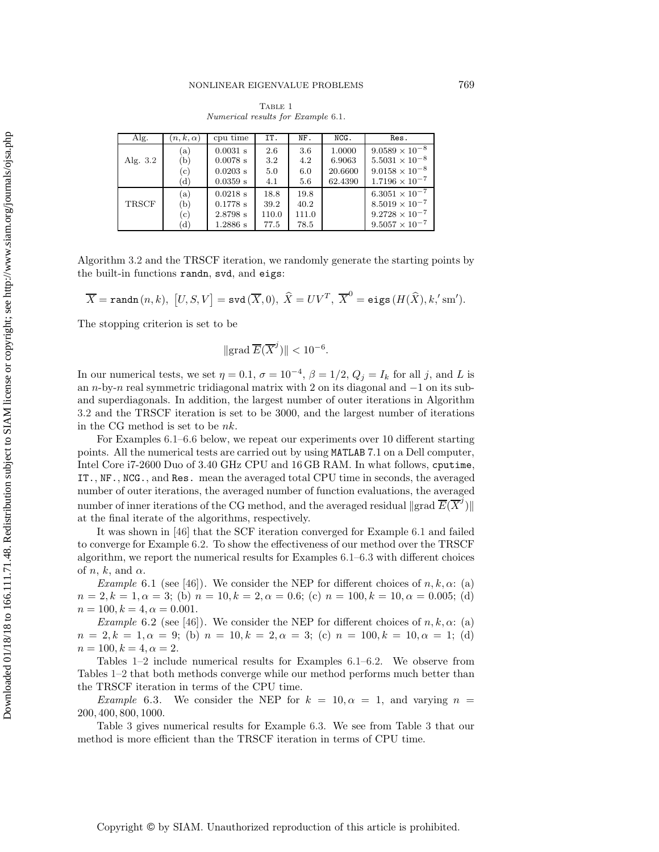## NONLINEAR EIGENVALUE PROBLEMS 769

<span id="page-17-3"></span>TABLE 1 Numerical results for Example [6.1](#page-17-0).

| Alg.       | $(n,k,\alpha)$ | cpu time   | IT.   | NF.   | NCG.    | Res.                    |
|------------|----------------|------------|-------|-------|---------|-------------------------|
|            | (a)            | $0.0031$ s | 2.6   | 3.6   | 1.0000  | $9.0589 \times 10^{-8}$ |
| Alg. $3.2$ | (b)            | $0.0078$ s | 3.2   | 4.2   | 6.9063  | $5.5031 \times 10^{-8}$ |
|            | (c)            | $0.0203$ s | 5.0   | 6.0   | 20.6600 | $9.0158 \times 10^{-8}$ |
|            | (d)            | $0.0359$ s | 4.1   | 5.6   | 62.4390 | $1.7196 \times 10^{-7}$ |
|            | (a)            | 0.0218 s   | 18.8  | 19.8  |         | $6.3051 \times 10^{-7}$ |
| TRSCF      | (b)            | $0.1778$ s | 39.2  | 40.2  |         | $8.5019 \times 10^{-7}$ |
|            | (c)            | 2.8798 s   | 110.0 | 111.0 |         | $9.2728 \times 10^{-7}$ |
|            | (d)            | $1.2886$ s | 77.5  | 78.5  |         | $9.5057 \times 10^{-7}$ |

Algorithm [3.2](#page-7-2) and the TRSCF iteration, we randomly generate the starting points by the built-in functions randn, svd, and eigs:

$$
\overline{X}=\texttt{randn}\,(n,k),\,\,\big[U,S,V\big]=\texttt{svd}\,(\overline{X},0),\,\,\widehat{X}=UV^T,\,\,\overline{X}^0=\texttt{eigs}\,(H(\widehat{X}),k,\text{'sm'}).
$$

The stopping criterion is set to be

$$
\|\operatorname{grad}\overline{E}(\overline{X}^j)\| < 10^{-6}.
$$

In our numerical tests, we set  $\eta = 0.1$ ,  $\sigma = 10^{-4}$ ,  $\beta = 1/2$ ,  $Q_j = I_k$  for all j, and L is an n-by-n real symmetric tridiagonal matrix with 2 on its diagonal and −1 on its suband superdiagonals. In addition, the largest number of outer iterations in Algorithm [3.2](#page-7-2) and the TRSCF iteration is set to be 3000, and the largest number of iterations in the CG method is set to be nk.

For Examples [6.1](#page-17-0)[–6.6](#page-19-0) below, we repeat our experiments over 10 different starting points. All the numerical tests are carried out by using MATLAB 7.1 on a Dell computer, Intel Core i7-2600 Duo of 3.40 GHz CPU and 16 GB RAM. In what follows, cputime, IT., NF., NCG., and Res. mean the averaged total CPU time in seconds, the averaged number of outer iterations, the averaged number of function evaluations, the averaged number of inner iterations of the CG method, and the averaged residual  $\Vert$ grad  $\overline{E}(\overline{X}^j)\Vert$ at the final iterate of the algorithms, respectively.

It was shown in [\[46\]](#page-22-2) that the SCF iteration converged for Example [6.1](#page-17-0) and failed to converge for Example [6.2.](#page-17-1) To show the effectiveness of our method over the TRSCF algorithm, we report the numerical results for Examples [6.1](#page-17-0)[–6.3](#page-17-2) with different choices of *n*, *k*, and  $\alpha$ .

<span id="page-17-0"></span>*Example* 6.1 (see [\[46\]](#page-22-2)). We consider the NEP for different choices of  $n, k, \alpha$ : (a)  $n = 2, k = 1, \alpha = 3$ ; (b)  $n = 10, k = 2, \alpha = 0.6$ ; (c)  $n = 100, k = 10, \alpha = 0.005$ ; (d)  $n = 100, k = 4, \alpha = 0.001.$ 

<span id="page-17-1"></span>*Example* 6.2 (see [\[46\]](#page-22-2)). We consider the NEP for different choices of  $n, k, \alpha$ : (a)  $n = 2, k = 1, \alpha = 9;$  (b)  $n = 10, k = 2, \alpha = 3;$  (c)  $n = 100, k = 10, \alpha = 1;$  (d)  $n = 100, k = 4, \alpha = 2.$ 

Tables [1–](#page-17-3)[2](#page-18-0) include numerical results for Examples [6.1](#page-17-0)[–6.2.](#page-17-1) We observe from Tables [1–](#page-17-3)[2](#page-18-0) that both methods converge while our method performs much better than the TRSCF iteration in terms of the CPU time.

<span id="page-17-2"></span>*Example* 6.3. We consider the NEP for  $k = 10, \alpha = 1$ , and varying  $n =$ 200, 400, 800, 1000.

Table [3](#page-18-1) gives numerical results for Example [6.3.](#page-17-2) We see from Table [3](#page-18-1) that our method is more efficient than the TRSCF iteration in terms of CPU time.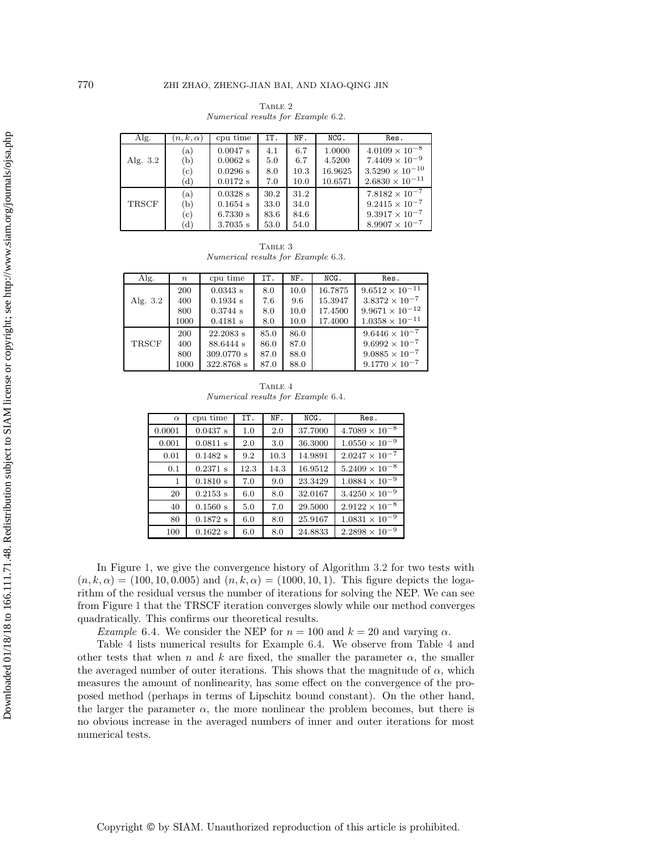<span id="page-18-0"></span>TABLE  $2\,$ Numerical results for Example [6.2](#page-17-1).

| Alg.         | $(n, k, \alpha)$ | cpu time   | IT.  | NF.  | NCG.    | Res.                     |
|--------------|------------------|------------|------|------|---------|--------------------------|
|              | (a)              | 0.0047 s   | 4.1  | 6.7  | 1.0000  | $4.0109 \times 10^{-8}$  |
| Alg. 3.2     | (b)              | $0.0062$ s | 5.0  | 6.7  | 4.5200  | $7.4409 \times 10^{-9}$  |
|              | (c)              | 0.0296 s   | 8.0  | 10.3 | 16.9625 | $3.5290 \times 10^{-10}$ |
|              | (d)              | 0.0172 s   | 7.0  | 10.0 | 10.6571 | $2.6830\times10^{-11}$   |
|              | (a)              | $0.0328$ s | 30.2 | 31.2 |         | $7.8182 \times 10^{-7}$  |
| <b>TRSCF</b> | (b)              | $0.1654$ s | 33.0 | 34.0 |         | $9.2415 \times 10^{-7}$  |
|              | (c)              | 6.7330 s   | 83.6 | 84.6 |         | $9.3917 \times 10^{-7}$  |
|              | (d)              | $3.7035$ s | 53.0 | 54.0 |         | $8.9907 \times 10^{-7}$  |

<span id="page-18-1"></span>TABLE 3 Numerical results for Example [6.3](#page-17-2).

| Alg.         | $\boldsymbol{n}$ | cpu time    | IT.  | NF.  | $NCG$ . | Res.                     |
|--------------|------------------|-------------|------|------|---------|--------------------------|
|              | 200              | 0.0343 s    | 8.0  | 10.0 | 16.7875 | $9.6512 \times 10^{-11}$ |
| Alg. 3.2     | 400              | 0.1934 s    | 7.6  | 9.6  | 15.3947 | $3.8372 \times 10^{-7}$  |
|              | 800              | 0.3744 s    | 8.0  | 10.0 | 17.4500 | $9.9671 \times 10^{-12}$ |
|              | 1000             | 0.4181 s    | 8.0  | 10.0 | 17.4000 | $1.0358 \times 10^{-11}$ |
|              | 200              | $22.2083$ s | 85.0 | 86.0 |         | $9.6446 \times 10^{-7}$  |
| <b>TRSCF</b> | 400              | 88.6444 s   | 86.0 | 87.0 |         | $9.6992 \times 10^{-7}$  |
|              | 800              | 309.0770 s  | 87.0 | 88.0 |         | $9.0885 \times 10^{-7}$  |
|              | 1000             | 322.8768 s  | 87.0 | 88.0 |         | $9.1770 \times 10^{-7}$  |

<span id="page-18-3"></span>TABLE 4 Numerical results for Example [6.4](#page-18-2).

| $\alpha$     | cpu time   | IT.  | NF.  | NCG.    | Res.                    |
|--------------|------------|------|------|---------|-------------------------|
| 0.0001       | 0.0437 s   | 1.0  | 2.0  | 37.7000 | $4.7089 \times 10^{-8}$ |
| 0.001        | 0.0811 s   | 2.0  | 3.0  | 36.3000 | $1.0550 \times 10^{-9}$ |
| 0.01         | 0.1482 s   | 9.2  | 10.3 | 14.9891 | $2.0247 \times 10^{-7}$ |
| 0.1          | $0.2371$ s | 12.3 | 14.3 | 16.9512 | $5.2409 \times 10^{-8}$ |
| $\mathbf{1}$ | 0.1810 s   | 7.0  | 9.0  | 23.3429 | $1.0884 \times 10^{-9}$ |
| 20           | $0.2153$ s | 6.0  | 8.0  | 32.0167 | $3.4250 \times 10^{-9}$ |
| 40           | 0.1560 s   | 5.0  | 7.0  | 29.5000 | $2.9122 \times 10^{-8}$ |
| 80           | 0.1872 s   | 6.0  | 8.0  | 25.9167 | $1.0831 \times 10^{-9}$ |
| 100          | 0.1622 s   | 6.0  | 8.0  | 24.8833 | $2.2898 \times 10^{-9}$ |

In Figure [1,](#page-19-1) we give the convergence history of Algorithm [3.2](#page-7-2) for two tests with  $(n, k, \alpha) = (100, 10, 0.005)$  and  $(n, k, \alpha) = (1000, 10, 1)$ . This figure depicts the logarithm of the residual versus the number of iterations for solving the NEP. We can see from Figure [1](#page-19-1) that the TRSCF iteration converges slowly while our method converges quadratically. This confirms our theoretical results.

<span id="page-18-2"></span>*Example* 6.4. We consider the NEP for  $n = 100$  and  $k = 20$  and varying  $\alpha$ .

Table [4](#page-18-3) lists numerical results for Example [6.4.](#page-18-2) We observe from Table [4](#page-18-3) and other tests that when n and k are fixed, the smaller the parameter  $\alpha$ , the smaller the averaged number of outer iterations. This shows that the magnitude of  $\alpha$ , which measures the amount of nonlinearity, has some effect on the convergence of the proposed method (perhaps in terms of Lipschitz bound constant). On the other hand, the larger the parameter  $\alpha$ , the more nonlinear the problem becomes, but there is no obvious increase in the averaged numbers of inner and outer iterations for most numerical tests.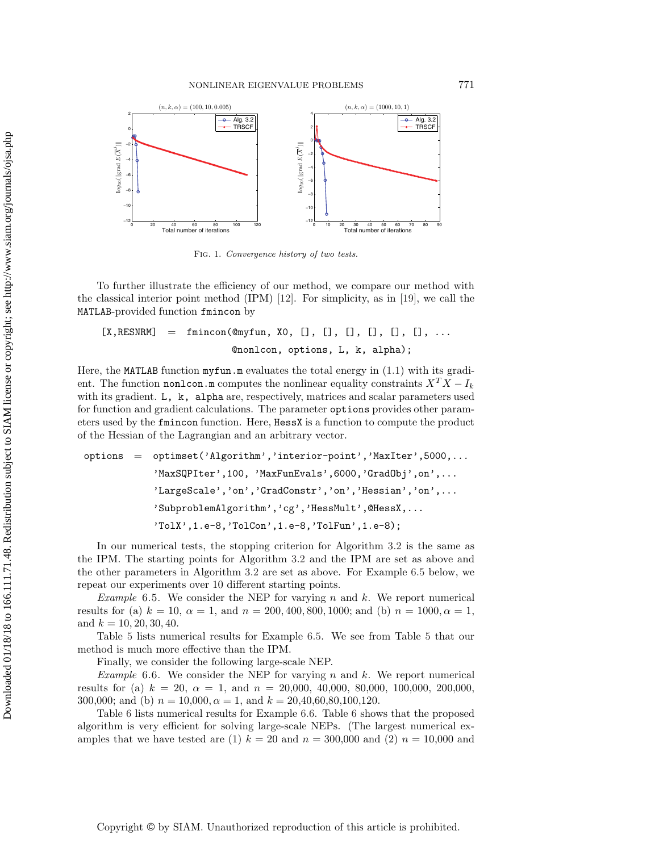

<span id="page-19-1"></span>Fig. 1. Convergence history of two tests.

To further illustrate the efficiency of our method, we compare our method with the classical interior point method (IPM) [\[12\]](#page-21-15). For simplicity, as in [\[19\]](#page-21-7), we call the MATLAB-provided function fmincon by

 $[X, RESNRM] = \text{fmincon}(\mathbb{Q}myfun, X0, [], [], [], [], [], [], ...$ @nonlcon, options, L, k, alpha);

Here, the MATLAB function myfun.m evaluates the total energy in [\(1.1\)](#page-0-0) with its gradient. The function non1con.m computes the nonlinear equality constraints  $X^T X - I_k$ with its gradient. L, k, alpha are, respectively, matrices and scalar parameters used for function and gradient calculations. The parameter options provides other parameters used by the fmincon function. Here, HessX is a function to compute the product of the Hessian of the Lagrangian and an arbitrary vector.

options = optimset('Algorithm','interior-point','MaxIter',5000,... 'MaxSQPIter',100, 'MaxFunEvals',6000,'GradObj',on',... 'LargeScale','on','GradConstr','on','Hessian','on',... 'SubproblemAlgorithm','cg','HessMult',@HessX,... 'TolX',1.e-8,'TolCon',1.e-8,'TolFun',1.e-8);

In our numerical tests, the stopping criterion for Algorithm [3.2](#page-7-2) is the same as the IPM. The starting points for Algorithm [3.2](#page-7-2) and the IPM are set as above and the other parameters in Algorithm [3.2](#page-7-2) are set as above. For Example [6.5](#page-19-2) below, we repeat our experiments over 10 different starting points.

<span id="page-19-2"></span>*Example* 6.5. We consider the NEP for varying n and k. We report numerical results for (a)  $k = 10$ ,  $\alpha = 1$ , and  $n = 200, 400, 800, 1000$ ; and (b)  $n = 1000, \alpha = 1$ , and  $k = 10, 20, 30, 40$ .

Table [5](#page-20-1) lists numerical results for Example [6.5.](#page-19-2) We see from Table [5](#page-20-1) that our method is much more effective than the IPM.

<span id="page-19-0"></span>Finally, we consider the following large-scale NEP.

*Example* 6.6. We consider the NEP for varying n and k. We report numerical results for (a)  $k = 20$ ,  $\alpha = 1$ , and  $n = 20,000$ , 40,000, 80,000, 100,000, 200,000, 300,000; and (b)  $n = 10,000, \alpha = 1$ , and  $k = 20,40,60,80,100,120$ .

Table [6](#page-20-2) lists numerical results for Example [6.6.](#page-19-0) Table [6](#page-20-2) shows that the proposed algorithm is very efficient for solving large-scale NEPs. (The largest numerical examples that we have tested are (1)  $k = 20$  and  $n = 300,000$  and (2)  $n = 10,000$  and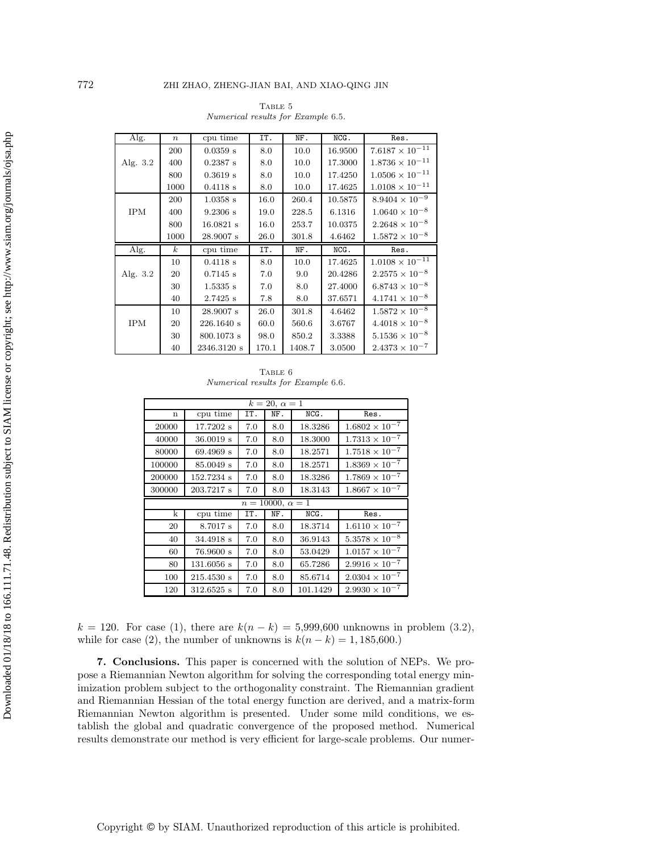| Alg.       | $\boldsymbol{n}$ | cpu time     | IT.  | NF.   | NCG.    | Res.                     |
|------------|------------------|--------------|------|-------|---------|--------------------------|
|            | 200              | $0.0359$ s   | 8.0  | 10.0  | 16.9500 | $7.6187 \times 10^{-11}$ |
| Alg. 3.2   | 400              | $0.2387$ s   | 8.0  | 10.0  | 17.3000 | $1.8736 \times 10^{-11}$ |
|            | 800              | 0.3619 s     | 8.0  | 10.0  | 17.4250 | $1.0506 \times 10^{-11}$ |
|            | 1000             | 0.4118 s     | 8.0  | 10.0  | 17.4625 | $1.0108 \times 10^{-11}$ |
|            | 200              | $1.0358$ s   | 16.0 | 260.4 | 10.5875 | $8.9404 \times 10^{-9}$  |
| <b>IPM</b> | 400              | 9.2306 s     | 19.0 | 228.5 | 6.1316  | $1.0640 \times 10^{-8}$  |
|            | 800              | $16.0821$ s  | 16.0 | 253.7 | 10.0375 | $2.2648 \times 10^{-8}$  |
|            | 1000             | 28.9007 s    | 26.0 | 301.8 | 4.6462  | $1.5872 \times 10^{-8}$  |
|            |                  |              |      |       |         |                          |
| Alg.       | $\boldsymbol{k}$ | cpu time     | IT.  | NF.   | NCG.    | Res.                     |
|            | 10               | 0.4118 s     | 8.0  | 10.0  | 17.4625 | $1.0108 \times 10^{-11}$ |
| Alg. 3.2   | 20               | $0.7145$ s   | 7.0  | 9.0   | 20.4286 | $2.2575 \times 10^{-8}$  |
|            | 30               | 1.5335 s     | 7.0  | 8.0   | 27.4000 | $6.8743 \times 10^{-8}$  |
|            | 40               | $2.7425$ s   | 7.8  | 8.0   | 37.6571 | $4.1741 \times 10^{-8}$  |
|            | 10               | 28.9007 s    | 26.0 | 301.8 | 4.6462  | $1.5872\times10^{-8}$    |
| <b>IPM</b> | 20               | 226.1640 s   | 60.0 | 560.6 | 3.6767  | $4.4018 \times 10^{-8}$  |
|            | 30               | $800.1073$ s | 98.0 | 850.2 | 3.3388  | $5.1536 \times 10^{-8}$  |

<span id="page-20-1"></span>TABLE  $5\,$ Numerical results for Example [6.5](#page-19-2).

<span id="page-20-2"></span>TABLE  $6$ Numerical results for Example [6.6](#page-19-0).

|                         |              |     | $k = 20, \alpha = 1$ |         |                                                    |  |  |
|-------------------------|--------------|-----|----------------------|---------|----------------------------------------------------|--|--|
| n                       | cpu time     | IT. | NF.                  | $NCG$ . | Res.                                               |  |  |
| 20000                   | 17.7202 s    | 7.0 | 8.0                  | 18.3286 | $1.6802 \times 10^{-7}$                            |  |  |
| 40000                   | 36.0019 s    | 7.0 | 8.0                  | 18.3000 | $1.7313 \times 10^{-7}$                            |  |  |
| 80000                   | 69.4969 s    | 7.0 | 8.0                  | 18.2571 | $1.7518 \times 10^{-7}$                            |  |  |
| 100000                  | 85.0049 s    | 7.0 | 8.0                  | 18.2571 | $1.8369\times10^{-7}$                              |  |  |
| 200000                  | 152.7234 s   | 7.0 | 8.0                  | 18.3286 | $1.7869 \times 10^{-7}$                            |  |  |
| 300000                  | 203.7217 s   | 7.0 | 8.0                  | 18.3143 | $1.8667 \times 10^{-7}$                            |  |  |
| $n = 10000, \alpha = 1$ |              |     |                      |         |                                                    |  |  |
|                         |              |     |                      |         |                                                    |  |  |
| $\mathbf k$             | cpu time     | IT. | NF.                  | NCG.    | Res.                                               |  |  |
| 20                      | 8.7017 s     | 7.0 | 8.0                  | 18.3714 |                                                    |  |  |
| 40                      | 34.4918 s    | 7.0 | 8.0                  | 36.9143 | $1.6110 \times 10^{-7}$<br>$5.3578 \times 10^{-8}$ |  |  |
| 60                      | 76.9600 s    | 7.0 | 8.0                  | 53.0429 |                                                    |  |  |
| 80                      | $131.6056$ s | 7.0 | 8.0                  | 65.7286 | $1.0157\times10^{-7}$<br>$2.9916 \times 10^{-7}$   |  |  |
| 100                     | 215.4530 s   | 7.0 | 8.0                  | 85.6714 | $2.0304\times10^{-7}$                              |  |  |

 $k = 120$ . For case (1), there are  $k(n - k) = 5,999,600$  unknowns in problem [\(3.2\)](#page-4-0), while for case (2), the number of unknowns is  $k(n - k) = 1, 185,600$ .)

<span id="page-20-0"></span>**7. Conclusions.** This paper is concerned with the solution of NEPs. We propose a Riemannian Newton algorithm for solving the corresponding total energy minimization problem subject to the orthogonality constraint. The Riemannian gradient and Riemannian Hessian of the total energy function are derived, and a matrix-form Riemannian Newton algorithm is presented. Under some mild conditions, we establish the global and quadratic convergence of the proposed method. Numerical results demonstrate our method is very efficient for large-scale problems. Our numer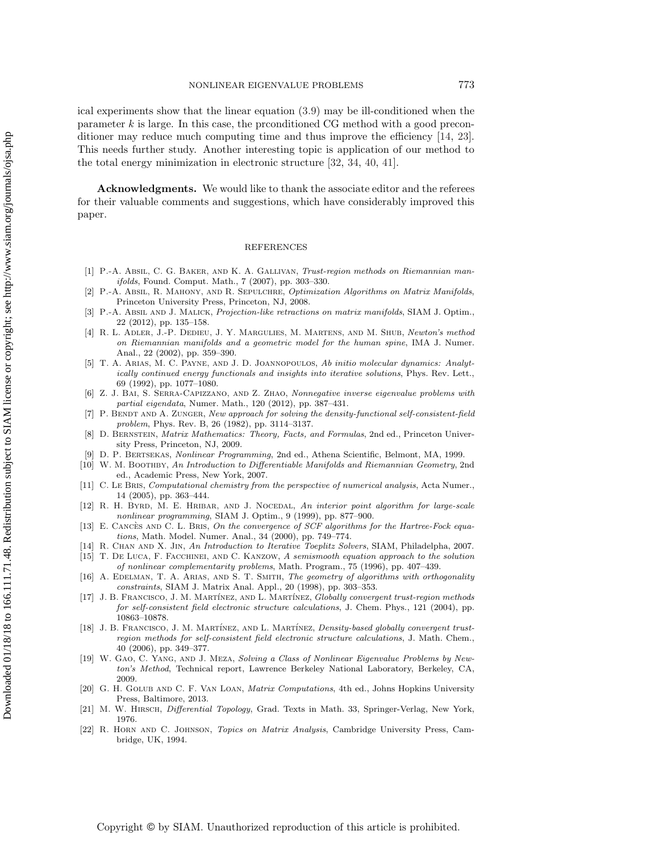ical experiments show that the linear equation [\(3.9\)](#page-7-3) may be ill-conditioned when the parameter  $k$  is large. In this case, the propositioned CG method with a good preconditioner may reduce much computing time and thus improve the efficiency [\[14,](#page-21-19) [23\]](#page-22-22). This needs further study. Another interesting topic is application of our method to the total energy minimization in electronic structure [\[32,](#page-22-10) [34,](#page-22-11) [40,](#page-22-13) [41\]](#page-22-14).

**Acknowledgments.** We would like to thank the associate editor and the referees for their valuable comments and suggestions, which have considerably improved this paper.

## REFERENCES

- <span id="page-21-10"></span>[1] P.-A. Absil, C. G. Baker, and K. A. Gallivan, Trust-region methods on Riemannian manifolds, Found. Comput. Math., 7 (2007), pp. 303–330.
- <span id="page-21-8"></span>[2] P.-A. ABSIL, R. MAHONY, AND R. SEPULCHRE, Optimization Algorithms on Matrix Manifolds, Princeton University Press, Princeton, NJ, 2008.
- <span id="page-21-14"></span>[3] P.-A. ABSIL AND J. MALICK, Projection-like retractions on matrix manifolds, SIAM J. Optim., 22 (2012), pp. 135–158.
- <span id="page-21-13"></span>[4] R. L. Adler, J.-P. Dedieu, J. Y. Margulies, M. Martens, and M. Shub, Newton's method on Riemannian manifolds and a geometric model for the human spine, IMA J. Numer. Anal., 22 (2002), pp. 359–390.
- <span id="page-21-2"></span>[5] T. A. Arias, M. C. Payne, and J. D. Joannopoulos, Ab initio molecular dynamics: Analytically continued energy functionals and insights into iterative solutions, Phys. Rev. Lett., 69 (1992), pp. 1077–1080.
- [6] Z. J. Bai, S. Serra-Capizzano, and Z. Zhao, Nonnegative inverse eigenvalue problems with partial eigendata, Numer. Math., 120 (2012), pp. 387–431.
- <span id="page-21-3"></span>[7] P. BENDT AND A. ZUNGER, New approach for solving the density-functional self-consistent-field problem, Phys. Rev. B, 26 (1982), pp. 3114–3137.
- <span id="page-21-17"></span>[8] D. BERNSTEIN, *Matrix Mathematics: Theory, Facts, and Formulas*, 2nd ed., Princeton University Press, Princeton, NJ, 2009.
- <span id="page-21-11"></span>[9] D. P. Bertsekas, Nonlinear Programming, 2nd ed., Athena Scientific, Belmont, MA, 1999.
- [10] W. M. BOOTHBY, An Introduction to Differentiable Manifolds and Riemannian Geometry, 2nd ed., Academic Press, New York, 2007.
- <span id="page-21-0"></span>[11] C. Le BRIS, *Computational chemistry from the perspective of numerical analysis*, Acta Numer. 14 (2005), pp. 363–444.
- <span id="page-21-15"></span>[12] R. H. BYRD, M. E. HRIBAR, AND J. NOCEDAL, An interior point algorithm for large-scale nonlinear programming, SIAM J. Optim., 9 (1999), pp. 877–900.
- <span id="page-21-1"></span>[13] E. CANCES AND C. L. BRIS, On the convergence of SCF algorithms for the Hartree-Fock equations, Math. Model. Numer. Anal., 34 (2000), pp. 749–774.
- <span id="page-21-19"></span><span id="page-21-16"></span>[14] R. CHAN AND X. JIN, An Introduction to Iterative Toeplitz Solvers, SIAM, Philadelpha, 2007. [15] T. De Luca, F. Facchinei, and C. Kanzow, A semismooth equation approach to the solution
- <span id="page-21-4"></span>of nonlinear complementarity problems, Math. Program., 75 (1996), pp. 407–439. [16] A. EDELMAN, T. A. ARIAS, AND S. T. SMITH, The geometry of algorithms with orthogonality
- <span id="page-21-5"></span>constraints, SIAM J. Matrix Anal. Appl., 20 (1998), pp. 303–353. [17] J. B. FRANCISCO, J. M. MARTÍNEZ, AND L. MARTÍNEZ, Globally convergent trust-region methods for self-consistent field electronic structure calculations, J. Chem. Phys., 121 (2004), pp. 10863–10878.
- <span id="page-21-6"></span>[18] J. B. FRANCISCO, J. M. MARTÍNEZ, AND L. MARTÍNEZ, *Density-based globally convergent trust*region methods for self-consistent field electronic structure calculations, J. Math. Chem., 40 (2006), pp. 349–377.
- <span id="page-21-7"></span>[19] W. GAO, C. YANG, AND J. MEZA, Solving a Class of Nonlinear Eigenvalue Problems by Newton's Method, Technical report, Lawrence Berkeley National Laboratory, Berkeley, CA, 2009.
- <span id="page-21-9"></span>[20] G. H. Golub and C. F. Van Loan, Matrix Computations, 4th ed., Johns Hopkins University Press, Baltimore, 2013.
- <span id="page-21-12"></span>[21] M. W. HIRSCH, Differential Topology, Grad. Texts in Math. 33, Springer-Verlag, New York, 1976.
- <span id="page-21-18"></span>[22] R. Horn and C. Johnson, Topics on Matrix Analysis, Cambridge University Press, Cambridge, UK, 1994.